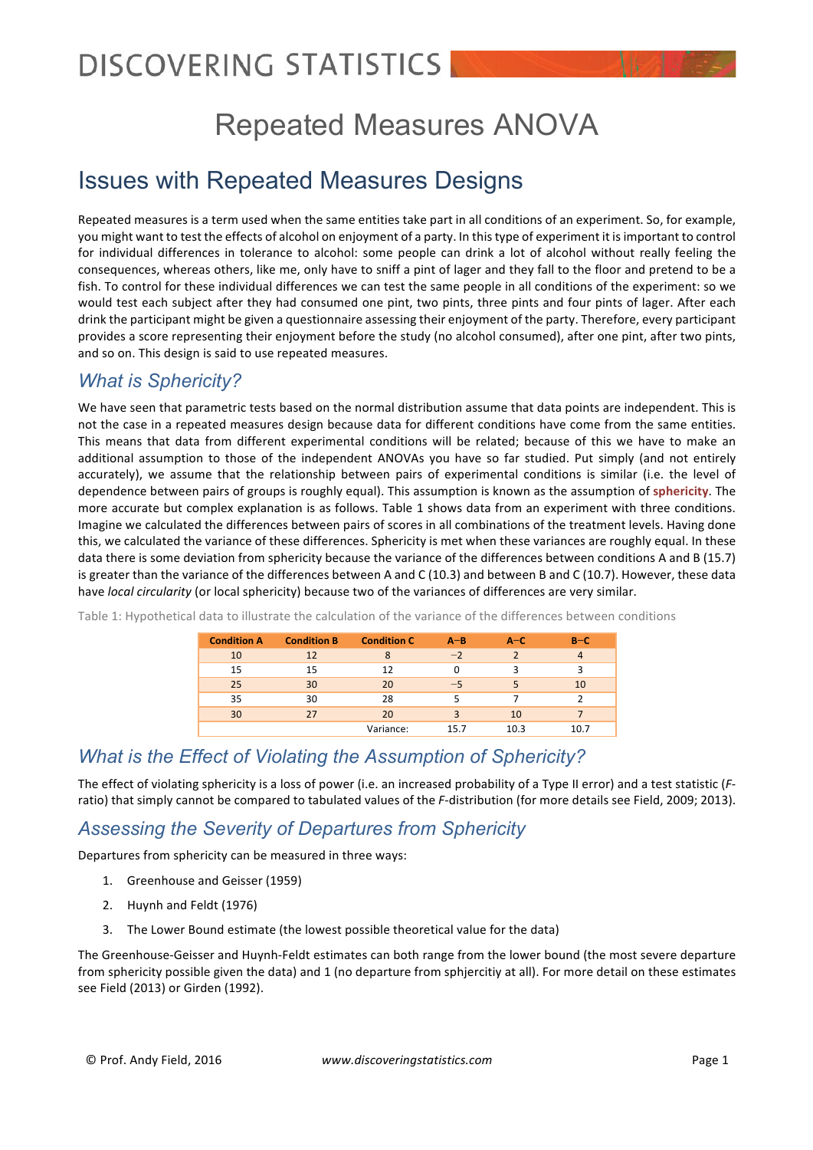## Repeated Measures ANOVA

## Issues with Repeated Measures Designs

Repeated measures is a term used when the same entities take part in all conditions of an experiment. So, for example, you might want to test the effects of alcohol on enjoyment of a party. In this type of experiment it is important to control for individual differences in tolerance to alcohol: some people can drink a lot of alcohol without really feeling the consequences, whereas others, like me, only have to sniff a pint of lager and they fall to the floor and pretend to be a fish. To control for these individual differences we can test the same people in all conditions of the experiment: so we would test each subject after they had consumed one pint, two pints, three pints and four pints of lager. After each drink the participant might be given a questionnaire assessing their enjoyment of the party. Therefore, every participant provides a score representing their enjoyment before the study (no alcohol consumed), after one pint, after two pints, and so on. This design is said to use repeated measures.

#### *What is Sphericity?*

We have seen that parametric tests based on the normal distribution assume that data points are independent. This is not the case in a repeated measures design because data for different conditions have come from the same entities. This means that data from different experimental conditions will be related; because of this we have to make an additional assumption to those of the independent ANOVAs you have so far studied. Put simply (and not entirely accurately), we assume that the relationship between pairs of experimental conditions is similar (i.e. the level of dependence between pairs of groups is roughly equal). This assumption is known as the assumption of sphericity. The more accurate but complex explanation is as follows. Table 1 shows data from an experiment with three conditions. Imagine we calculated the differences between pairs of scores in all combinations of the treatment levels. Having done this, we calculated the variance of these differences. Sphericity is met when these variances are roughly equal. In these data there is some deviation from sphericity because the variance of the differences between conditions A and B (15.7) is greater than the variance of the differences between A and C (10.3) and between B and C (10.7). However, these data have *local circularity* (or local sphericity) because two of the variances of differences are very similar.

| <b>Condition A</b> | <b>Condition B</b> | <b>Condition C</b> | $A - B$ | $A-C$ | $B-C$ |
|--------------------|--------------------|--------------------|---------|-------|-------|
| 10                 | 12                 |                    | $-2$    |       |       |
| 15                 | 15                 | 12                 |         | ੨     |       |
| 25                 | 30                 | 20                 | $-5$    |       | 10    |
| 35                 | 30                 | 28                 |         |       |       |
| 30                 | 27                 | 20                 |         | 10    |       |
|                    |                    | Variance:          | 15.7    | 10.3  | 10.7  |

Table 1: Hypothetical data to illustrate the calculation of the variance of the differences between conditions

### *What is the Effect of Violating the Assumption of Sphericity?*

The effect of violating sphericity is a loss of power (i.e. an increased probability of a Type II error) and a test statistic (Fratio) that simply cannot be compared to tabulated values of the *F*-distribution (for more details see Field, 2009; 2013).

### *Assessing the Severity of Departures from Sphericity*

Departures from sphericity can be measured in three ways:

- 1. Greenhouse and Geisser (1959)
- 2. Huynh and Feldt (1976)
- 3. The Lower Bound estimate (the lowest possible theoretical value for the data)

The Greenhouse-Geisser and Huynh-Feldt estimates can both range from the lower bound (the most severe departure from sphericity possible given the data) and 1 (no departure from sphjercitiy at all). For more detail on these estimates see Field (2013) or Girden (1992).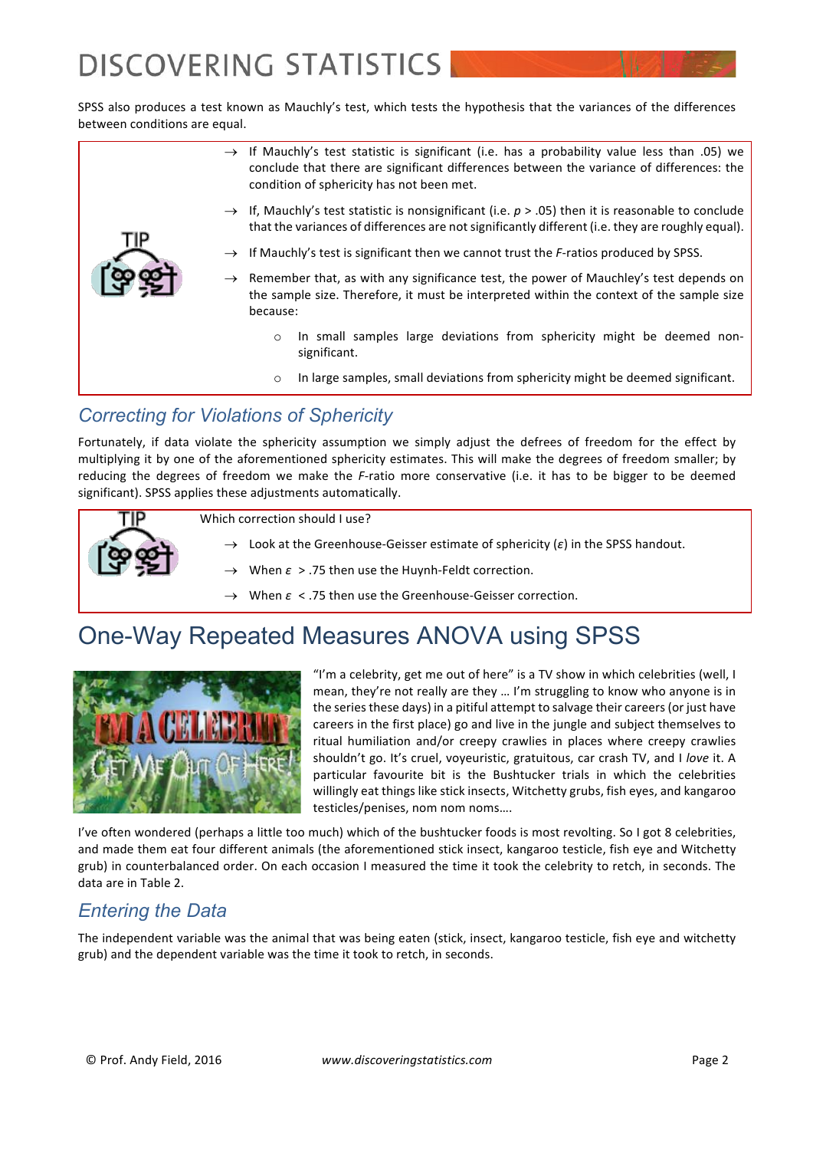SPSS also produces a test known as Mauchly's test, which tests the hypothesis that the variances of the differences between conditions are equal.

|  | $\rightarrow$ If Mauchly's test statistic is significant (i.e. has a probability value less than .05) we<br>conclude that there are significant differences between the variance of differences: the<br>condition of sphericity has not been met. |  |  |  |  |
|--|---------------------------------------------------------------------------------------------------------------------------------------------------------------------------------------------------------------------------------------------------|--|--|--|--|
|  | $\rightarrow$ If, Mauchly's test statistic is nonsignificant (i.e. $p > .05$ ) then it is reasonable to conclude<br>that the variances of differences are not significantly different (i.e. they are roughly equal).                              |  |  |  |  |
|  | $\rightarrow$ If Mauchly's test is significant then we cannot trust the <i>F</i> -ratios produced by SPSS.                                                                                                                                        |  |  |  |  |
|  | $\rightarrow$ Remember that, as with any significance test, the power of Mauchley's test depends on<br>the sample size. Therefore, it must be interpreted within the context of the sample size<br>because:                                       |  |  |  |  |
|  | In small samples large deviations from sphericity might be deemed non-<br>$\circ$<br>significant.                                                                                                                                                 |  |  |  |  |
|  | In large samples, small deviations from sphericity might be deemed significant.<br>$\circ$                                                                                                                                                        |  |  |  |  |

## *Correcting for Violations of Sphericity*

Fortunately, if data violate the sphericity assumption we simply adjust the defrees of freedom for the effect by multiplying it by one of the aforementioned sphericity estimates. This will make the degrees of freedom smaller; by reducing the degrees of freedom we make the *F*-ratio more conservative (i.e. it has to be bigger to be deemed significant). SPSS applies these adjustments automatically.



## One-Way Repeated Measures ANOVA using SPSS



"I'm a celebrity, get me out of here" is a TV show in which celebrities (well, I mean, they're not really are they ... I'm struggling to know who anyone is in the series these days) in a pitiful attempt to salvage their careers (or just have careers in the first place) go and live in the jungle and subject themselves to ritual humiliation and/or creepy crawlies in places where creepy crawlies shouldn't go. It's cruel, voyeuristic, gratuitous, car crash TV, and I love it. A particular favourite bit is the Bushtucker trials in which the celebrities willingly eat things like stick insects, Witchetty grubs, fish eyes, and kangaroo testicles/penises, nom nom noms....

I've often wondered (perhaps a little too much) which of the bushtucker foods is most revolting. So I got 8 celebrities, and made them eat four different animals (the aforementioned stick insect, kangaroo testicle, fish eye and Witchetty grub) in counterbalanced order. On each occasion I measured the time it took the celebrity to retch, in seconds. The data are in Table 2.

### *Entering the Data*

The independent variable was the animal that was being eaten (stick, insect, kangaroo testicle, fish eye and witchetty grub) and the dependent variable was the time it took to retch, in seconds.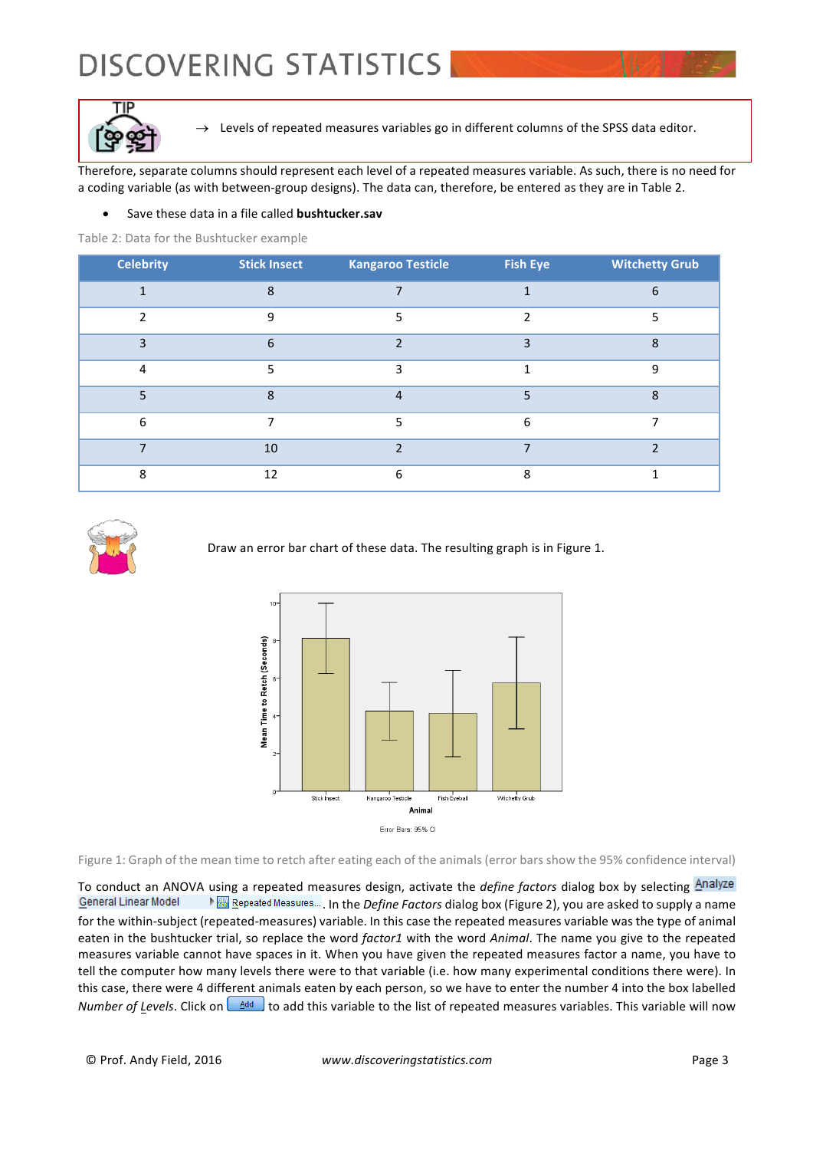

 $\rightarrow$  Levels of repeated measures variables go in different columns of the SPSS data editor.

Therefore, separate columns should represent each level of a repeated measures variable. As such, there is no need for a coding variable (as with between-group designs). The data can, therefore, be entered as they are in Table 2.

#### Save these data in a file called **bushtucker.sav**

Table 2: Data for the Bushtucker example

| <b>Celebrity</b> | <b>Stick Insect</b> | <b>Kangaroo Testicle</b> | <b>Fish Eye</b> | <b>Witchetty Grub</b> |
|------------------|---------------------|--------------------------|-----------------|-----------------------|
|                  | 8                   |                          |                 | 6                     |
| C                | 9                   | 5                        |                 |                       |
| 3                | 6                   |                          | h               | 8                     |
| 4                | 5                   | 3                        |                 | 9                     |
| 5                | $\mathbf{8}$        | $\overline{4}$           | 5               | 8                     |
| 6                |                     | 5                        | 6               |                       |
|                  | 10                  | ำ                        |                 | ∍                     |
| 8                | 12                  | 6                        | 8               |                       |



Draw an error bar chart of these data. The resulting graph is in Figure 1.



Figure 1: Graph of the mean time to retch after eating each of the animals (error bars show the 95% confidence interval)

To conduct an ANOVA using a repeated measures design, activate the *define factors* dialog box by selecting Analyze General Linear Model **Example Pepeated Measures...** In the *Define Factors* dialog box (Figure 2), you are asked to supply a name for the within-subject (repeated-measures) variable. In this case the repeated measures variable was the type of animal eaten in the bushtucker trial, so replace the word *factor1* with the word *Animal*. The name you give to the repeated measures variable cannot have spaces in it. When you have given the repeated measures factor a name, you have to tell the computer how many levels there were to that variable (i.e. how many experimental conditions there were). In this case, there were 4 different animals eaten by each person, so we have to enter the number 4 into the box labelled *Number of Levels*. Click on  $\Box$  and this variable to the list of repeated measures variables. This variable will now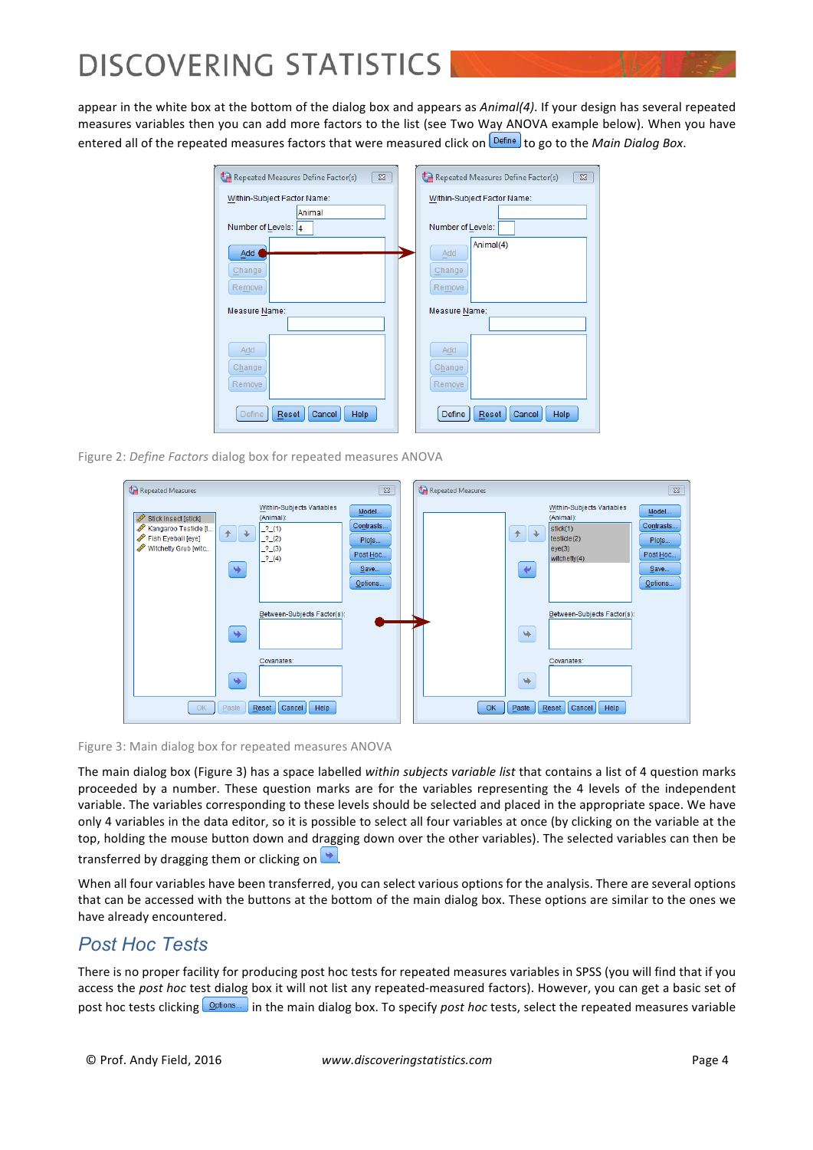appear in the white box at the bottom of the dialog box and appears as *Animal(4)*. If your design has several repeated measures variables then you can add more factors to the list (see Two Way ANOVA example below). When you have entered all of the repeated measures factors that were measured click on **Define** to go to the *Main Dialog Box.* 



Figure 2: *Define Factors* dialog box for repeated measures ANOVA



Figure 3: Main dialog box for repeated measures ANOVA

The main dialog box (Figure 3) has a space labelled within subjects variable list that contains a list of 4 question marks proceeded by a number. These question marks are for the variables representing the 4 levels of the independent variable. The variables corresponding to these levels should be selected and placed in the appropriate space. We have only 4 variables in the data editor, so it is possible to select all four variables at once (by clicking on the variable at the top, holding the mouse button down and dragging down over the other variables). The selected variables can then be transferred by dragging them or clicking on  $\rightarrow$ 

When all four variables have been transferred, you can select various options for the analysis. There are several options that can be accessed with the buttons at the bottom of the main dialog box. These options are similar to the ones we have already encountered.

### *Post Hoc Tests*

There is no proper facility for producing post hoc tests for repeated measures variables in SPSS (you will find that if you access the post hoc test dialog box it will not list any repeated-measured factors). However, you can get a basic set of post hoc tests clicking **options.** in the main dialog box. To specify *post hoc* tests, select the repeated measures variable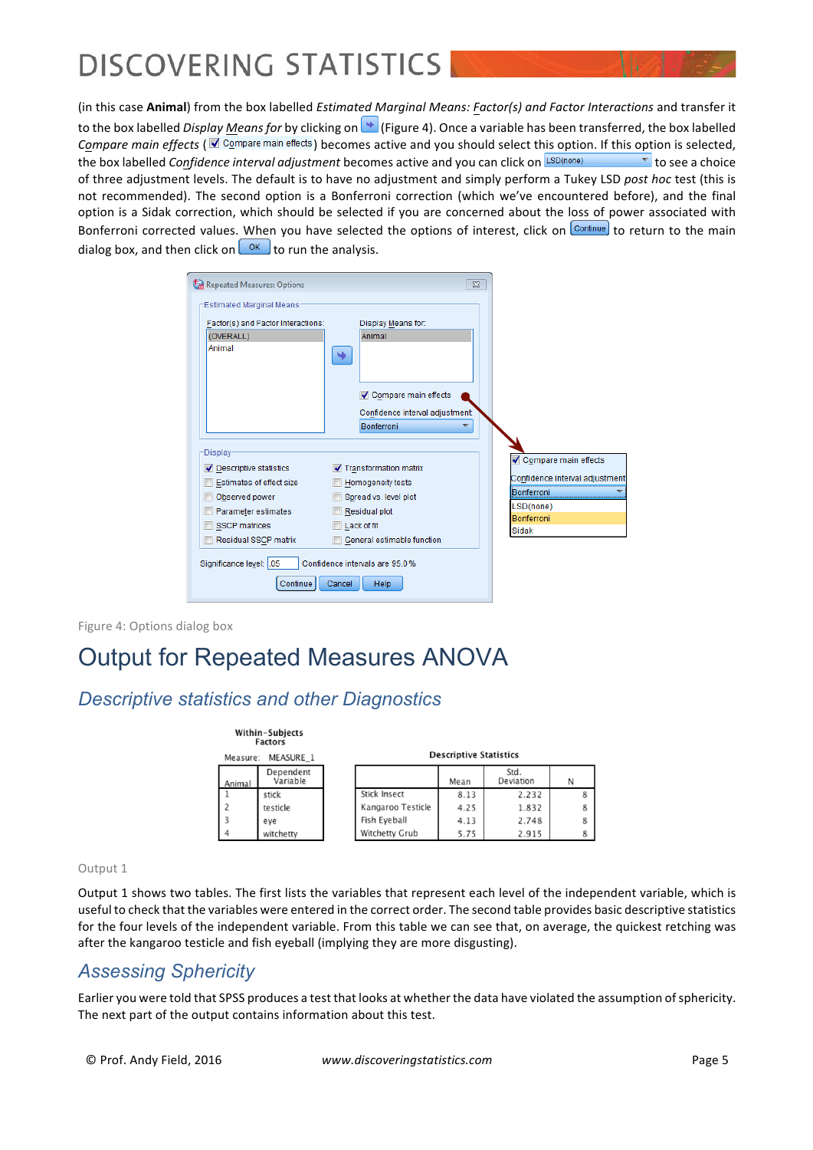(in this case **Animal**) from the box labelled *Estimated Marginal Means: Factor(s)* and Factor Interactions and transfer it to the box labelled *Display Means for* by clicking on (Figure 4). Once a variable has been transferred, the box labelled *Compare main effects* ( $\blacksquare$  Compare main effects) becomes active and you should select this option. If this option is selected, the box labelled *Confidence interval adjustment* becomes active and you can click on **LSD(none)** to see a choice of three adjustment levels. The default is to have no adjustment and simply perform a Tukey LSD post hoc test (this is not recommended). The second option is a Bonferroni correction (which we've encountered before), and the final option is a Sidak correction, which should be selected if you are concerned about the loss of power associated with Bonferroni corrected values. When you have selected the options of interest, click on Continue to return to the main dialog box, and then click on  $\left( \frac{X}{x} \right)$  to run the analysis.

| Repeated Measures: Options                                                                                                                                                                          | $\overline{\mathbb{Z}}$                                                                                                                                                               |                                                                                                                  |
|-----------------------------------------------------------------------------------------------------------------------------------------------------------------------------------------------------|---------------------------------------------------------------------------------------------------------------------------------------------------------------------------------------|------------------------------------------------------------------------------------------------------------------|
| Estimated Marginal Means<br>Factor(s) and Factor Interactions:<br>(OVERALL)<br>Animal                                                                                                               | Display Means for:<br>Animal<br>٠<br>Compare main effects<br>Confidence interval adjustment:<br>Bonferroni                                                                            |                                                                                                                  |
| <b>Display</b><br>Descriptive statistics<br>Estimates of effect size<br>Observed power<br>Parameter estimates<br><b>SSCP</b> matrices<br>Residual SSCP matrix<br>Significance level: 05<br>Continue | Transformation matrix<br>Homogeneity tests<br>Spread vs. level plot<br>Residual plot<br>Lack of fit<br>General estimable function<br>Confidence intervals are 95.0%<br>Help<br>Cancel | Compare main effects<br>Confidence interval adjustment:<br>Bonferroni<br>LSD(none)<br><b>Bonferroni</b><br>Sidak |

Figure 4: Options dialog box

## Output for Repeated Measures ANOVA

### *Descriptive statistics and other Diagnostics*

Within-Subjects

|          | <br><b>Factors</b>    |                   |                               |                   |   |
|----------|-----------------------|-------------------|-------------------------------|-------------------|---|
| Measure: | MEASURE 1             |                   | <b>Descriptive Statistics</b> |                   |   |
| Animal   | Dependent<br>Variable |                   | Mean                          | Std.<br>Deviation | N |
|          | stick                 | Stick Insect      | 8.13                          | 2.232             | 8 |
|          | testicle              | Kangaroo Testicle | 4.25                          | 1.832             | 8 |
|          | eve                   | Fish Eyeball      | 4.13                          | 2.748             | 8 |
|          | witchetty             | Witchetty Grub    | 5.75                          | 2.915             | 8 |

#### Output 1

Output 1 shows two tables. The first lists the variables that represent each level of the independent variable, which is useful to check that the variables were entered in the correct order. The second table provides basic descriptive statistics for the four levels of the independent variable. From this table we can see that, on average, the quickest retching was after the kangaroo testicle and fish eyeball (implying they are more disgusting).

### *Assessing Sphericity*

Earlier you were told that SPSS produces a test that looks at whether the data have violated the assumption of sphericity. The next part of the output contains information about this test.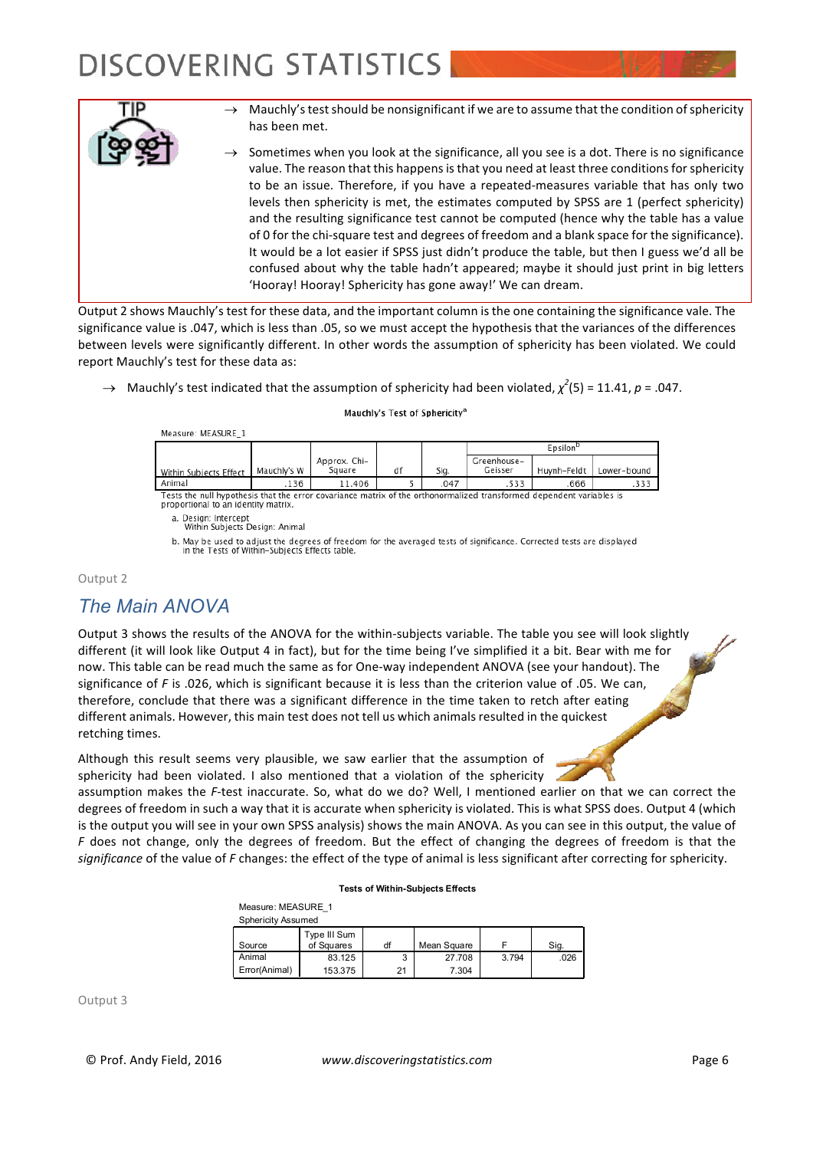

Output 2 shows Mauchly's test for these data, and the important column is the one containing the significance vale. The significance value is .047, which is less than .05, so we must accept the hypothesis that the variances of the differences between levels were significantly different. In other words the assumption of sphericity has been violated. We could report Mauchly's test for these data as:

 $\rightarrow$  Mauchly's test indicated that the assumption of sphericity had been violated,  $\chi^2(5)$  = 11.41, *p* = .047.

#### Measure: MEASURE\_1 Epsilon<sup>b</sup> Approx. Chi-Greenhouse-Mauchly's W Square df Sig. Huynh-Feldt Lower-bound Geisser Within Subjects Effect Anima 136 11.406  $.047$ 533 666 333 5 Tests the null hypothesis that the error covariance matrix of the orthonormalized transformed dependent variables is proportional to an identity matrix.

Mauchly's Test of Sphericity<sup>a</sup>

a. Design: Intercept

Within Subjects Design: Animal

b. May be used to adjust the degrees of freedom for the averaged tests of significance. Corrected tests are displayed in the Tests of Within-Subiects Effects table.

#### Output 2

### *The Main ANOVA*

Output 3 shows the results of the ANOVA for the within-subjects variable. The table you see will look slightly different (it will look like Output 4 in fact), but for the time being I've simplified it a bit. Bear with me for now. This table can be read much the same as for One-way independent ANOVA (see your handout). The significance of  $F$  is .026, which is significant because it is less than the criterion value of .05. We can, therefore, conclude that there was a significant difference in the time taken to retch after eating different animals. However, this main test does not tell us which animals resulted in the quickest retching times.

Although this result seems very plausible, we saw earlier that the assumption of sphericity had been violated. I also mentioned that a violation of the sphericity

assumption makes the *F*-test inaccurate. So, what do we do? Well, I mentioned earlier on that we can correct the degrees of freedom in such a way that it is accurate when sphericity is violated. This is what SPSS does. Output 4 (which is the output you will see in your own SPSS analysis) shows the main ANOVA. As you can see in this output, the value of *F* does not change, only the degrees of freedom. But the effect of changing the degrees of freedom is that the significance of the value of *F* changes: the effect of the type of animal is less significant after correcting for sphericity.

#### **Tests of Within-Subjects Effects**

Measure: MEASURE\_1 Sphericity Assumed

| <b>Spriericity Assurried</b> |              |    |             |       |      |  |
|------------------------------|--------------|----|-------------|-------|------|--|
|                              | Type III Sum |    |             |       |      |  |
| Source                       | of Squares   | df | Mean Square |       | Sig. |  |
| Animal                       | 83.125       | J  | 27.708      | 3.794 | .026 |  |
| Error(Animal)                | 153.375      | つ1 | 7.304       |       |      |  |

Output 3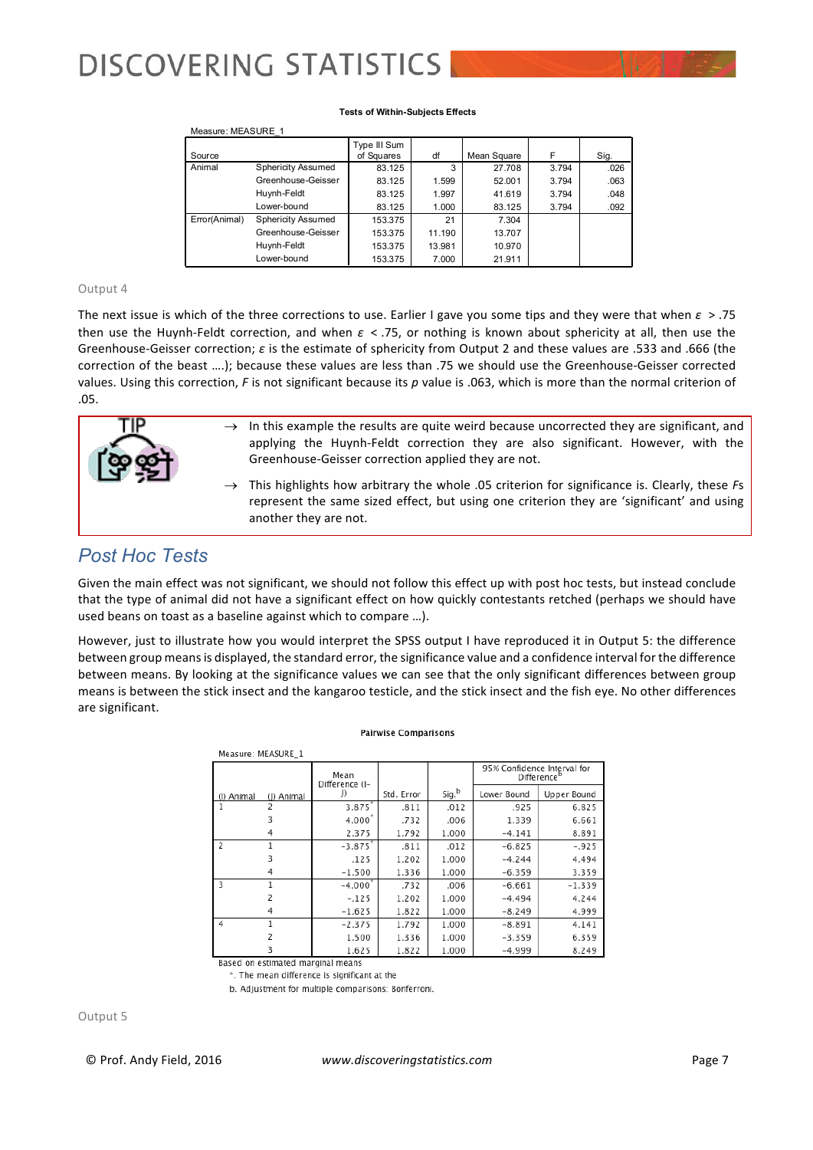#### **Tests of Within-Subjects Effects**

|               | Measure: MEASURE 1        |              |        |             |       |      |  |  |
|---------------|---------------------------|--------------|--------|-------------|-------|------|--|--|
|               |                           | Type III Sum |        |             |       |      |  |  |
| Source        |                           | of Squares   | df     | Mean Square | F     | Sig. |  |  |
| Animal        | <b>Sphericity Assumed</b> | 83.125       | 3      | 27.708      | 3.794 | .026 |  |  |
|               | Greenhouse-Geisser        | 83.125       | 1.599  | 52.001      | 3.794 | .063 |  |  |
|               | Huynh-Feldt               | 83.125       | 1.997  | 41.619      | 3.794 | .048 |  |  |
|               | Lower-bound               | 83.125       | 1.000  | 83.125      | 3.794 | .092 |  |  |
| Error(Animal) | <b>Sphericity Assumed</b> | 153.375      | 21     | 7.304       |       |      |  |  |
|               | Greenhouse-Geisser        | 153.375      | 11.190 | 13.707      |       |      |  |  |
|               | Huynh-Feldt               | 153.375      | 13.981 | 10.970      |       |      |  |  |
|               | Lower-bound               | 153.375      | 7.000  | 21.911      |       |      |  |  |

#### Output 4

The next issue is which of the three corrections to use. Earlier I gave you some tips and they were that when  $\varepsilon > .75$ then use the Huynh-Feldt correction, and when  $\varepsilon$  < .75, or nothing is known about sphericity at all, then use the Greenhouse-Geisser correction;  $\varepsilon$  is the estimate of sphericity from Output 2 and these values are .533 and .666 (the correction of the beast ....); because these values are less than .75 we should use the Greenhouse-Geisser corrected values. Using this correction, *F* is not significant because its *p* value is .063, which is more than the normal criterion of .05.



### *Post Hoc Tests*

Given the main effect was not significant, we should not follow this effect up with post hoc tests, but instead conclude that the type of animal did not have a significant effect on how quickly contestants retched (perhaps we should have used beans on toast as a baseline against which to compare ...).

However, just to illustrate how you would interpret the SPSS output I have reproduced it in Output 5: the difference between group means is displayed, the standard error, the significance value and a confidence interval for the difference between means. By looking at the significance values we can see that the only significant differences between group means is between the stick insect and the kangaroo testicle, and the stick insect and the fish eye. No other differences are significant.

|                | Measure: MEASURE 1 |                        |            |       |                             |                         |  |
|----------------|--------------------|------------------------|------------|-------|-----------------------------|-------------------------|--|
|                |                    | Mean<br>Difference (I- |            |       | 95% Confidence Interval for | Difference <sup>b</sup> |  |
| (I) Animal     | (J) Animal         | J)                     | Std. Error | Sig.b | Lower Bound                 | Upper Bound             |  |
|                | 2                  | 3.875                  | .811       | .012  | .925                        | 6.825                   |  |
|                | 3                  | 4.000                  | .732       | .006  | 1.339                       | 6.661                   |  |
|                | 4                  | 2.375                  | 1.792      | 1.000 | $-4.141$                    | 8.891                   |  |
| $\overline{2}$ | 1                  | $-3.875$               | .811       | .012  | $-6.825$                    | $-.925$                 |  |
|                | 3                  | .125                   | 1.202      | 1.000 | $-4.244$                    | 4.494                   |  |
|                | 4                  | $-1.500$               | 1.336      | 1.000 | $-6.359$                    | 3.359                   |  |
| 3              |                    | $-4.000$               | .732       | .006  | $-6.661$                    | $-1.339$                |  |
|                | 2                  | $-.125$                | 1.202      | 1.000 | $-4.494$                    | 4.244                   |  |
|                | 4                  | $-1.625$               | 1.822      | 1.000 | $-8.249$                    | 4.999                   |  |
| $\overline{4}$ |                    | $-2.375$               | 1.792      | 1.000 | $-8.891$                    | 4.141                   |  |
|                | 2                  | 1.500                  | 1.336      | 1.000 | $-3.359$                    | 6.359                   |  |
|                |                    | 1.625                  | 1.822      | 1.000 | $-4.999$                    | 8.249                   |  |

**Pairwise Comparisons** 

Based on estimated marginal means

\*. The mean difference is significant at the

b. Adjustment for multiple comparisons: Bonferroni.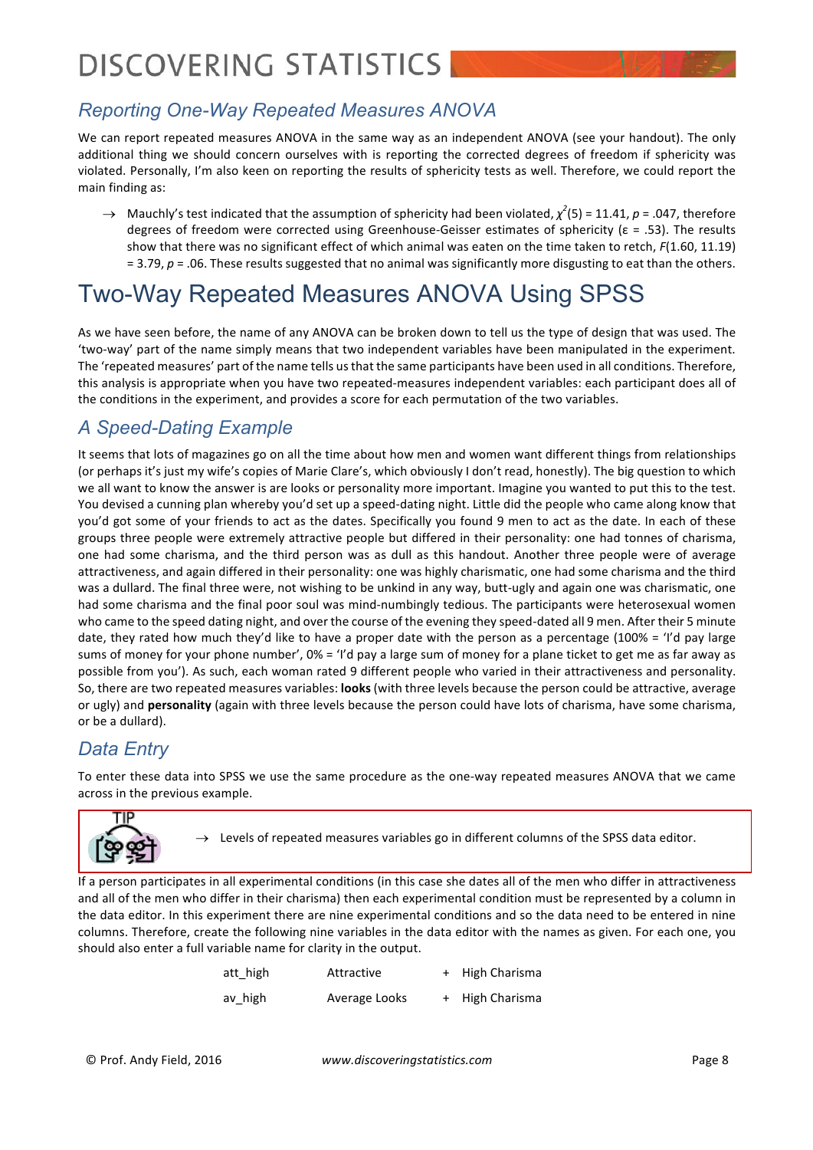## *Reporting One-Way Repeated Measures ANOVA*

We can report repeated measures ANOVA in the same way as an independent ANOVA (see your handout). The only additional thing we should concern ourselves with is reporting the corrected degrees of freedom if sphericity was violated. Personally, I'm also keen on reporting the results of sphericity tests as well. Therefore, we could report the main finding as:

 $\rightarrow$  Mauchly's test indicated that the assumption of sphericity had been violated,  $\chi^2(5)$  = 11.41,  $p$  = .047, therefore degrees of freedom were corrected using Greenhouse-Geisser estimates of sphericity ( $\varepsilon = .53$ ). The results show that there was no significant effect of which animal was eaten on the time taken to retch, *F*(1.60, 11.19)  $= 3.79$ ,  $p = 0.06$ . These results suggested that no animal was significantly more disgusting to eat than the others.

## Two-Way Repeated Measures ANOVA Using SPSS

As we have seen before, the name of any ANOVA can be broken down to tell us the type of design that was used. The 'two-way' part of the name simply means that two independent variables have been manipulated in the experiment. The 'repeated measures' part of the name tells us that the same participants have been used in all conditions. Therefore, this analysis is appropriate when you have two repeated-measures independent variables: each participant does all of the conditions in the experiment, and provides a score for each permutation of the two variables.

## *A Speed-Dating Example*

It seems that lots of magazines go on all the time about how men and women want different things from relationships (or perhaps it's just my wife's copies of Marie Clare's, which obviously I don't read, honestly). The big question to which we all want to know the answer is are looks or personality more important. Imagine you wanted to put this to the test. You devised a cunning plan whereby you'd set up a speed-dating night. Little did the people who came along know that you'd got some of your friends to act as the dates. Specifically you found 9 men to act as the date. In each of these groups three people were extremely attractive people but differed in their personality: one had tonnes of charisma, one had some charisma, and the third person was as dull as this handout. Another three people were of average attractiveness, and again differed in their personality: one was highly charismatic, one had some charisma and the third was a dullard. The final three were, not wishing to be unkind in any way, butt-ugly and again one was charismatic, one had some charisma and the final poor soul was mind-numbingly tedious. The participants were heterosexual women who came to the speed dating night, and over the course of the evening they speed-dated all 9 men. After their 5 minute date, they rated how much they'd like to have a proper date with the person as a percentage (100% = 'I'd pay large sums of money for your phone number', 0% = 'I'd pay a large sum of money for a plane ticket to get me as far away as possible from you'). As such, each woman rated 9 different people who varied in their attractiveness and personality. So, there are two repeated measures variables: **looks** (with three levels because the person could be attractive, average or ugly) and **personality** (again with three levels because the person could have lots of charisma, have some charisma, or be a dullard).

### *Data Entry*

To enter these data into SPSS we use the same procedure as the one-way repeated measures ANOVA that we came across in the previous example.



 $\rightarrow$  Levels of repeated measures variables go in different columns of the SPSS data editor.

If a person participates in all experimental conditions (in this case she dates all of the men who differ in attractiveness and all of the men who differ in their charisma) then each experimental condition must be represented by a column in the data editor. In this experiment there are nine experimental conditions and so the data need to be entered in nine columns. Therefore, create the following nine variables in the data editor with the names as given. For each one, you should also enter a full variable name for clarity in the output.

| att_high | Attractive    | + High Charisma |
|----------|---------------|-----------------|
| av high  | Average Looks | + High Charisma |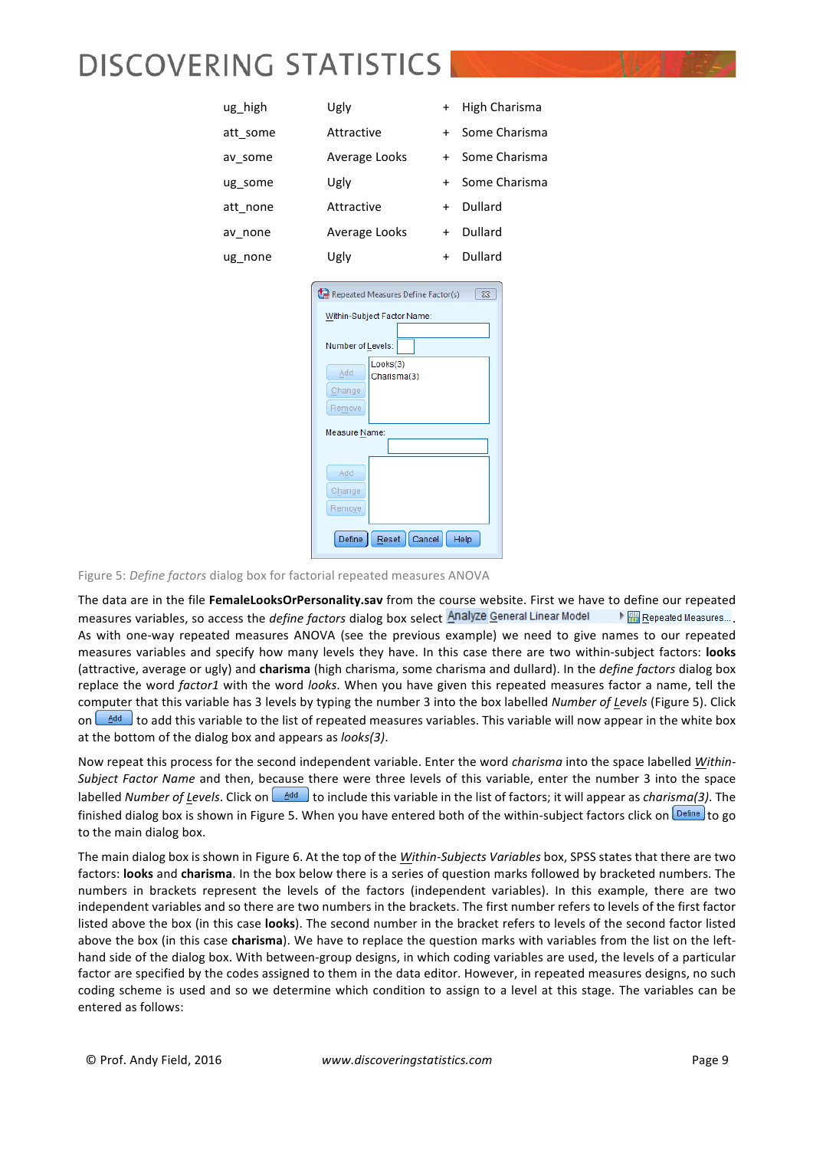| ug_high  | Ugly                                                                                                                                                                            | $+$ | High Charisma |
|----------|---------------------------------------------------------------------------------------------------------------------------------------------------------------------------------|-----|---------------|
| att some | Attractive                                                                                                                                                                      | $+$ | Some Charisma |
| av_some  | Average Looks                                                                                                                                                                   | $+$ | Some Charisma |
| ug some  | Ugly                                                                                                                                                                            | $+$ | Some Charisma |
| att none | Attractive                                                                                                                                                                      | $+$ | Dullard       |
| av none  | Average Looks                                                                                                                                                                   | $+$ | Dullard       |
| ug none  | Ugly                                                                                                                                                                            | $+$ | Dullard       |
|          | Within-Subject Factor Name:<br>Number of Levels:<br>Looks(3)<br>Add<br>Charisma(3)<br>Change<br>Remove<br>Measure Name:<br>Add<br>Change<br>Remove<br>Define<br>Cancel<br>Reset |     | Help          |
|          |                                                                                                                                                                                 |     |               |

Figure 5: *Define factors* dialog box for factorial repeated measures ANOVA

The data are in the file FemaleLooksOrPersonality.sav from the course website. First we have to define our repeated measures variables, so access the *define factors* dialog box select **Analyze General Linear Model** . If **WE** Repeated Measures... As with one-way repeated measures ANOVA (see the previous example) we need to give names to our repeated measures variables and specify how many levels they have. In this case there are two within-subject factors: **looks** (attractive, average or ugly) and **charisma** (high charisma, some charisma and dullard). In the *define factors* dialog box replace the word *factor1* with the word looks. When you have given this repeated measures factor a name, tell the computer that this variable has 3 levels by typing the number 3 into the box labelled *Number of Levels* (Figure 5). Click on  $\Delta$ <sup>dd</sup> I o add this variable to the list of repeated measures variables. This variable will now appear in the white box at the bottom of the dialog box and appears as *looks(3)*.

Now repeat this process for the second independent variable. Enter the word *charisma* into the space labelled Within-*Subject Factor Name* and then, because there were three levels of this variable, enter the number 3 into the space labelled *Number of Levels*. Click on  $\frac{4d}{d}$  to include this variable in the list of factors; it will appear as *charisma(3)*. The finished dialog box is shown in Figure 5. When you have entered both of the within-subject factors click on  $\frac{Q\text{effine}}{Q}$  to go to the main dialog box.

The main dialog box is shown in Figure 6. At the top of the *Within-Subjects Variables* box, SPSS states that there are two factors: looks and charisma. In the box below there is a series of question marks followed by bracketed numbers. The numbers in brackets represent the levels of the factors (independent variables). In this example, there are two independent variables and so there are two numbers in the brackets. The first number refers to levels of the first factor listed above the box (in this case **looks**). The second number in the bracket refers to levels of the second factor listed above the box (in this case *charisma*). We have to replace the question marks with variables from the list on the lefthand side of the dialog box. With between-group designs, in which coding variables are used, the levels of a particular factor are specified by the codes assigned to them in the data editor. However, in repeated measures designs, no such coding scheme is used and so we determine which condition to assign to a level at this stage. The variables can be entered as follows: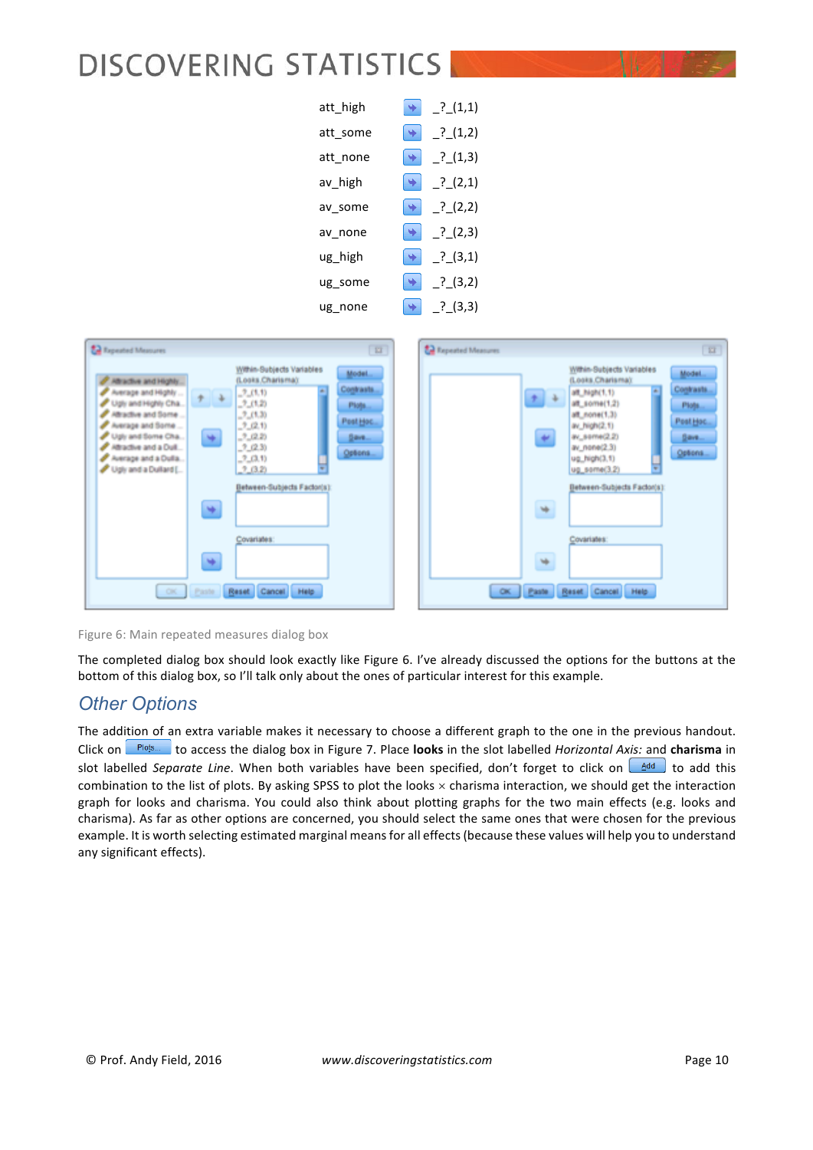| att high |                       | $.^{?}$ (1,1) |
|----------|-----------------------|---------------|
| att some | $\ddot{\bullet}$      | ? (1,2)       |
| att none | $\rightarrow$         | $.^{?}$ (1,3) |
| av_high  | $\rightarrow$         | .2(2,1)       |
| av some  | $\blacktriangleright$ | .2(2,2)       |
| av none  | $\rightarrow$         | .2(2,3)       |
| ug high  | ÷.                    | $^{2}$ (3,1)  |
| ug some  | $\bullet$             | .2(3,2)       |
| ug none  |                       | ? (3,3)       |

| <b>22</b> Tapested Measures                                                                                                                                                                                                                                                                                                                                                                                                                                                                           | $\overline{u}$                                                 | ta Repeated Measures                                                                                                                                                                                                                                                                                                                                                                                                           | $\overline{\mathbf{H}}$ |
|-------------------------------------------------------------------------------------------------------------------------------------------------------------------------------------------------------------------------------------------------------------------------------------------------------------------------------------------------------------------------------------------------------------------------------------------------------------------------------------------------------|----------------------------------------------------------------|--------------------------------------------------------------------------------------------------------------------------------------------------------------------------------------------------------------------------------------------------------------------------------------------------------------------------------------------------------------------------------------------------------------------------------|-------------------------|
| Within-Subjects Variables<br>(Looks.Charisma):<br>Attractive and Highly.<br>$\sim$<br>Average and Highly<br>$-2-(1,1)$<br>$\ddot{\tau}$<br>$-2(1,2)$<br>Ugly and Highly Cha<br>2(1,3)<br>Attractive and Some<br>Average and Some<br>$-2, (2,1)$<br>$-2, 62, 20$<br>Ugly and Some Cha<br>×<br>Attractive and a Dull<br>.2 (2.3)<br>Average and a Dulla<br>$-2, 0, 1$<br>Ugly and a Dullard [<br>2(3.2)<br>Between-Subjects Factor(s):<br>۷<br>Covariates:<br>۷<br>Reset Cancel<br>Help<br>CH.<br>Paste | Model<br>Contrasts.<br>Plots<br>Post Hoc<br>$Bem -$<br>Options | Within-Subjects Variables<br>Model<br>(Looks.Charisma):<br>Contrasts.<br>di:<br>alt_high(1.1)<br>$+$ +<br>4ff_some(1,2)<br>Plogs<br>48_none(1.3)<br>Post Hoc.<br>av_high(2.1)<br>47<br>av_seme(2.2)<br>$g_{\text{av}}$<br>av_none(2.3)<br>Options<br>ug_high(3.1)<br>ug_some(3.2)<br>$\overline{\phantom{a}}$<br>Between-Subjects Factor(s):<br>$\Rightarrow$<br>Covariates:<br>w<br>Reset Cancel<br>Help<br>$\alpha$<br>Paste |                         |

Figure 6: Main repeated measures dialog box

The completed dialog box should look exactly like Figure 6. I've already discussed the options for the buttons at the bottom of this dialog box, so I'll talk only about the ones of particular interest for this example.

### *Other Options*

The addition of an extra variable makes it necessary to choose a different graph to the one in the previous handout. Click on **Plots.** to access the dialog box in Figure 7. Place **looks** in the slot labelled *Horizontal Axis:* and **charisma** in slot labelled Separate Line. When both variables have been specified, don't forget to click on  $\Box$  to add this combination to the list of plots. By asking SPSS to plot the looks  $\times$  charisma interaction, we should get the interaction graph for looks and charisma. You could also think about plotting graphs for the two main effects (e.g. looks and charisma). As far as other options are concerned, you should select the same ones that were chosen for the previous example. It is worth selecting estimated marginal means for all effects (because these values will help you to understand any significant effects).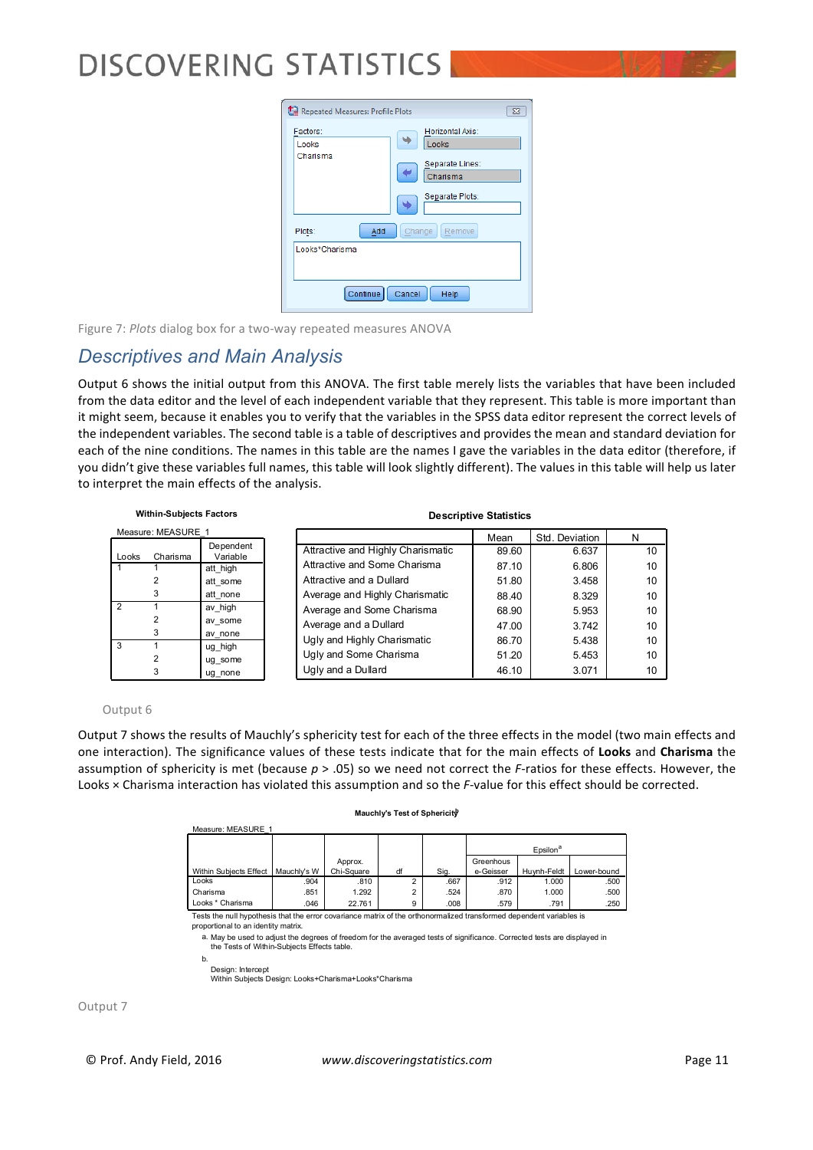

Figure 7: *Plots* dialog box for a two-way repeated measures ANOVA

### *Descriptives and Main Analysis*

Output 6 shows the initial output from this ANOVA. The first table merely lists the variables that have been included from the data editor and the level of each independent variable that they represent. This table is more important than it might seem, because it enables you to verify that the variables in the SPSS data editor represent the correct levels of the independent variables. The second table is a table of descriptives and provides the mean and standard deviation for each of the nine conditions. The names in this table are the names I gave the variables in the data editor (therefore, if you didn't give these variables full names, this table will look slightly different). The values in this table will help us later to interpret the main effects of the analysis.

| <b>Within-Subjects Factors</b> |                    |                       | <b>Descriptive Statistics</b>     |       |                |    |  |  |
|--------------------------------|--------------------|-----------------------|-----------------------------------|-------|----------------|----|--|--|
|                                | Measure: MEASURE 1 |                       |                                   | Mean  | Std. Deviation | N  |  |  |
| Looks                          | Charisma           | Dependent<br>Variable | Attractive and Highly Charismatic | 89.60 | 6.637          | 10 |  |  |
|                                |                    | att high              | Attractive and Some Charisma      | 87.10 | 6.806          | 10 |  |  |
|                                |                    | att some              | Attractive and a Dullard          | 51.80 | 3.458          | 10 |  |  |
|                                | 3                  | att none              | Average and Highly Charismatic    | 88.40 | 8.329          | 10 |  |  |
| 2                              |                    | av high               | Average and Some Charisma         | 68.90 | 5.953          | 10 |  |  |
|                                |                    | av some               | Average and a Dullard             | 47.00 | 3.742          | 10 |  |  |
|                                | 3                  | av none               | Ugly and Highly Charismatic       | 86.70 | 5.438          | 10 |  |  |
| 3                              | 2                  | ug high<br>ug some    | Ugly and Some Charisma            | 51.20 | 5.453          | 10 |  |  |
|                                | 3                  | ug none               | Ugly and a Dullard                | 46.10 | 3.071          | 10 |  |  |

#### Output 6

Output 7 shows the results of Mauchly's sphericity test for each of the three effects in the model (two main effects and one interaction). The significance values of these tests indicate that for the main effects of Looks and Charisma the assumption of sphericity is met (because  $p > .05$ ) so we need not correct the *F*-ratios for these effects. However, the Looks × Charisma interaction has violated this assumption and so the *F*-value for this effect should be corrected.

#### **Mauchly's Test of Sphericity**

| Measure: MEASURE 1 |            |    |      |                      |             |             |
|--------------------|------------|----|------|----------------------|-------------|-------------|
|                    |            |    |      | Epsilon <sup>a</sup> |             |             |
|                    | Approx.    |    |      | Greenhous            |             |             |
| Mauchly's W        | Chi-Square | df | Sig. | e-Geisser            | Huvnh-Feldt | Lower-bound |
| .904               | .810       |    | .667 | .912                 | 1.000       | .500        |
| .851               | 1.292      |    | .524 | .870                 | 1.000       | .500        |
| .046               | 22.761     | 9  | .008 | .579                 | .791        | .250        |
|                    |            |    |      |                      |             |             |

ull hypothesis that the error covariance matrix of the orthonori proportional to an identity matrix.

a. May be used to adjust the degrees of freedom for the averaged tests of significance. Corrected tests are displayed in the Tests of Within-Subjects Effects table.

b.

Design: Intercept Within Subjects Design: Looks+Charisma+Looks\*Charisma

Output 7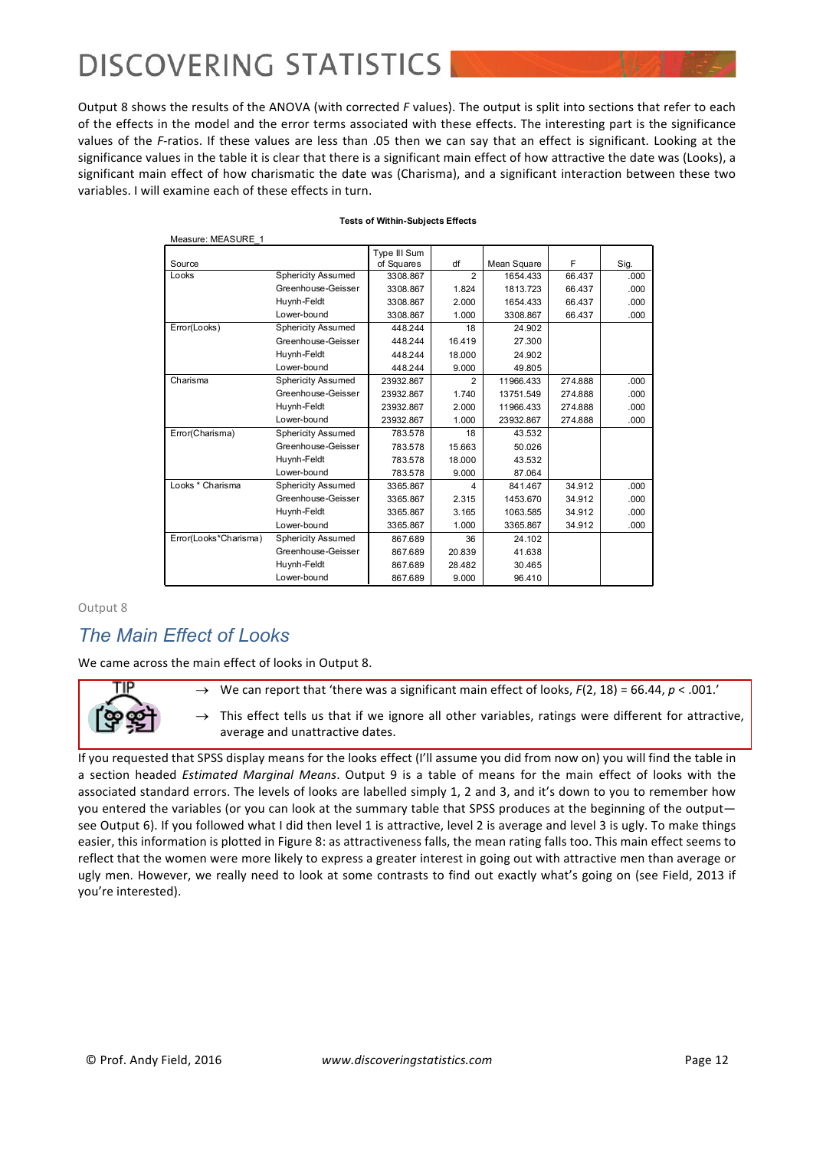Measure: MEASURE\_1

Output 8 shows the results of the ANOVA (with corrected *F* values). The output is split into sections that refer to each of the effects in the model and the error terms associated with these effects. The interesting part is the significance values of the *F*-ratios. If these values are less than .05 then we can say that an effect is significant. Looking at the significance values in the table it is clear that there is a significant main effect of how attractive the date was (Looks), a significant main effect of how charismatic the date was (Charisma), and a significant interaction between these two variables. I will examine each of these effects in turn.

| IVICASUIC.IVILAJUNE I |                           |              |                |             |         |      |
|-----------------------|---------------------------|--------------|----------------|-------------|---------|------|
|                       |                           | Type III Sum |                |             |         |      |
| Source                |                           | of Squares   | df             | Mean Square | F       | Sig. |
| Looks                 | <b>Sphericity Assumed</b> | 3308.867     | $\overline{2}$ | 1654.433    | 66.437  | .000 |
|                       | Greenhouse-Geisser        | 3308.867     | 1.824          | 1813.723    | 66.437  | .000 |
|                       | Huynh-Feldt               | 3308.867     | 2.000          | 1654.433    | 66.437  | .000 |
|                       | Lower-bound               | 3308.867     | 1.000          | 3308.867    | 66.437  | .000 |
| Error(Looks)          | <b>Sphericity Assumed</b> | 448.244      | 18             | 24.902      |         |      |
|                       | Greenhouse-Geisser        | 448.244      | 16.419         | 27.300      |         |      |
|                       | Huynh-Feldt               | 448.244      | 18.000         | 24.902      |         |      |
|                       | Lower-bound               | 448.244      | 9.000          | 49.805      |         |      |
| Charisma              | <b>Sphericity Assumed</b> | 23932.867    | $\overline{2}$ | 11966.433   | 274.888 | .000 |
|                       | Greenhouse-Geisser        | 23932.867    | 1.740          | 13751.549   | 274.888 | .000 |
|                       | Huynh-Feldt               | 23932.867    | 2.000          | 11966.433   | 274.888 | .000 |
|                       | Lower-bound               | 23932.867    | 1.000          | 23932.867   | 274.888 | .000 |
| Error(Charisma)       | <b>Sphericity Assumed</b> | 783.578      | 18             | 43.532      |         |      |
|                       | Greenhouse-Geisser        | 783.578      | 15.663         | 50.026      |         |      |
|                       | Huynh-Feldt               | 783.578      | 18.000         | 43.532      |         |      |
|                       | Lower-bound               | 783.578      | 9.000          | 87.064      |         |      |
| Looks * Charisma      | <b>Sphericity Assumed</b> | 3365.867     | 4              | 841.467     | 34.912  | .000 |
|                       | Greenhouse-Geisser        | 3365.867     | 2.315          | 1453.670    | 34.912  | .000 |
|                       | Huynh-Feldt               | 3365.867     | 3.165          | 1063.585    | 34.912  | .000 |
|                       | Lower-bound               | 3365.867     | 1.000          | 3365.867    | 34.912  | .000 |
| Error(Looks*Charisma) | <b>Sphericity Assumed</b> | 867.689      | 36             | 24.102      |         |      |
|                       | Greenhouse-Geisser        | 867.689      | 20.839         | 41.638      |         |      |
|                       | Huynh-Feldt               | 867.689      | 28.482         | 30.465      |         |      |
|                       | Lower-bound               | 867.689      | 9.000          | 96.410      |         |      |

#### **Tests of Within-Subjects Effects**

Output 8

### *The Main Effect of Looks*

We came across the main effect of looks in Output 8.



 $\rightarrow$  We can report that 'there was a significant main effect of looks,  $F(2, 18) = 66.44$ ,  $p < .001$ .'

 $\rightarrow$  This effect tells us that if we ignore all other variables, ratings were different for attractive, average and unattractive dates.

If you requested that SPSS display means for the looks effect (I'll assume you did from now on) you will find the table in a section headed *Estimated Marginal Means*. Output 9 is a table of means for the main effect of looks with the associated standard errors. The levels of looks are labelled simply 1, 2 and 3, and it's down to you to remember how you entered the variables (or you can look at the summary table that SPSS produces at the beginning of the output see Output 6). If you followed what I did then level 1 is attractive, level 2 is average and level 3 is ugly. To make things easier, this information is plotted in Figure 8: as attractiveness falls, the mean rating falls too. This main effect seems to reflect that the women were more likely to express a greater interest in going out with attractive men than average or ugly men. However, we really need to look at some contrasts to find out exactly what's going on (see Field, 2013 if you're interested).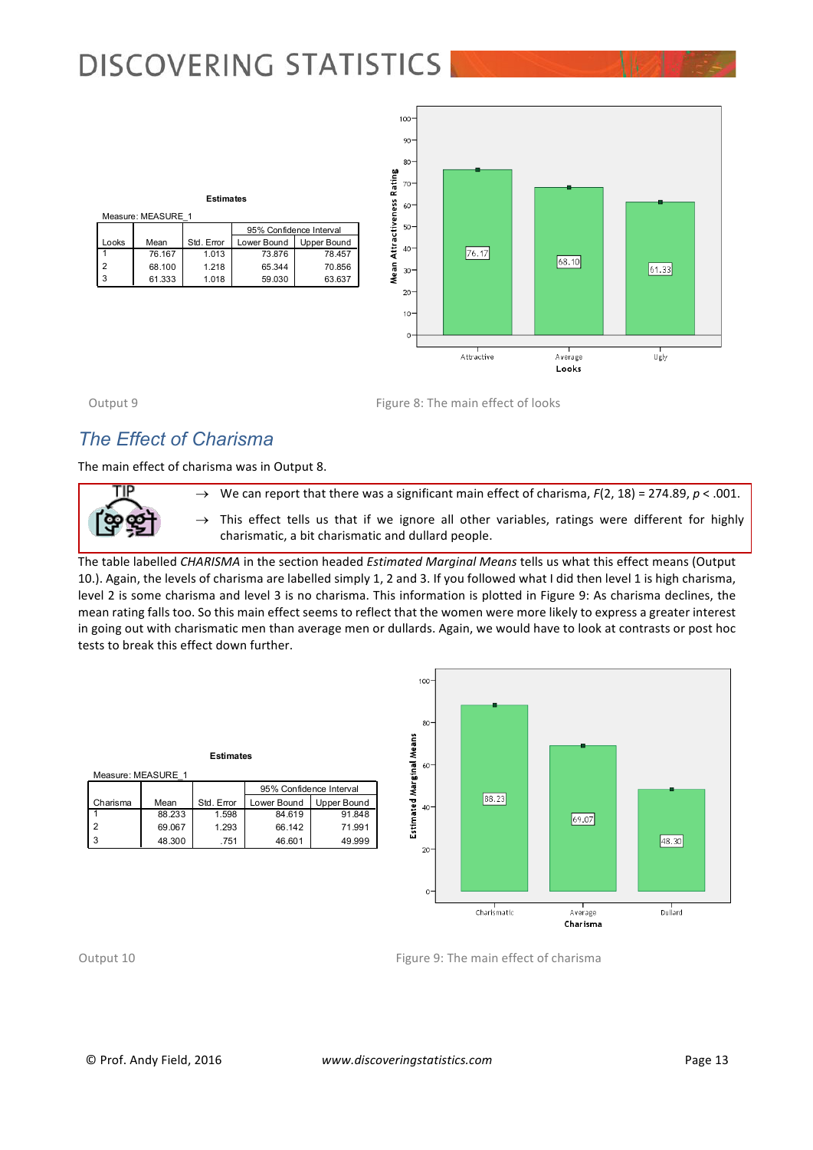**Estimates**

76.167 1.013 73.876 78.457 68.100 1.218 65.344 70.856 61.333 1.018 59.030 63.637

Mean Std. Error Lower Bound Upper Bound<br>76.167 1.013 73.876 78.457

95% Confidence Interval



Looks 1 2  $\overline{3}$ 

Measure: MEASURE\_1

Output 9 Compared 2: The main effect of looks

## *The Effect of Charisma*

The main effect of charisma was in Output 8.



 $\rightarrow$  We can report that there was a significant main effect of charisma,  $F(2, 18) = 274.89$ ,  $p < .001$ .

 $\rightarrow$  This effect tells us that if we ignore all other variables, ratings were different for highly charismatic, a bit charismatic and dullard people.

The table labelled CHARISMA in the section headed *Estimated Marginal Means* tells us what this effect means (Output 10.). Again, the levels of charisma are labelled simply 1, 2 and 3. If you followed what I did then level 1 is high charisma, level 2 is some charisma and level 3 is no charisma. This information is plotted in Figure 9: As charisma declines, the mean rating falls too. So this main effect seems to reflect that the women were more likely to express a greater interest in going out with charismatic men than average men or dullards. Again, we would have to look at contrasts or post hoc tests to break this effect down further.

| <b>Estimates</b> |                    |            |                         |             |  |  |  |  |
|------------------|--------------------|------------|-------------------------|-------------|--|--|--|--|
|                  | Measure: MEASURE 1 |            |                         |             |  |  |  |  |
|                  |                    |            | 95% Confidence Interval |             |  |  |  |  |
| Charisma         | Mean               | Std. Error | Lower Bound             | Upper Bound |  |  |  |  |
|                  | 88.233             | 1.598      | 84.619                  | 91.848      |  |  |  |  |
| 2                | 69.067             | 1.293      | 66.142                  | 71.991      |  |  |  |  |
| 3                | 48,300             | .751       | 46.601                  | 49.999      |  |  |  |  |
|                  |                    |            |                         |             |  |  |  |  |



Output 10 **Figure 9:** The main effect of charisma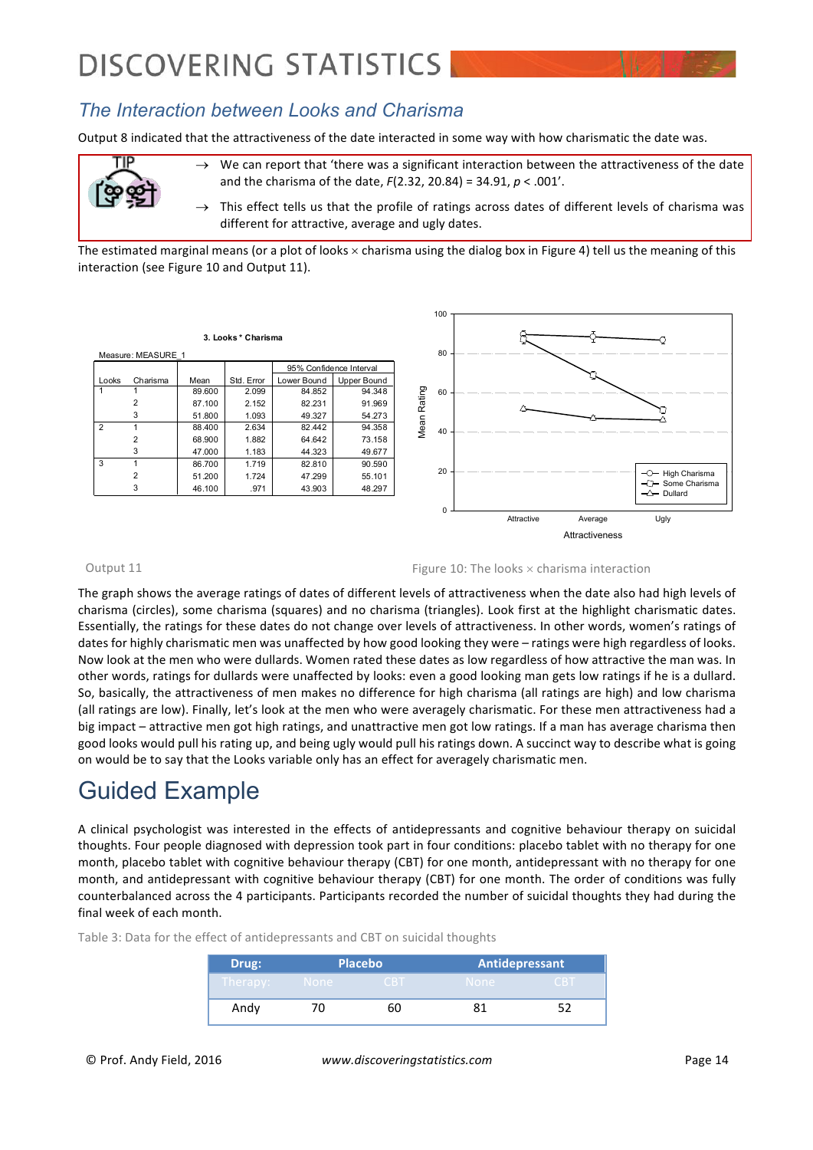

Output 8 indicated that the attractiveness of the date interacted in some way with how charismatic the date was.



 $\rightarrow$  We can report that 'there was a significant interaction between the attractiveness of the date and the charisma of the date,  $F(2.32, 20.84) = 34.91$ ,  $p < .001'$ .

This effect tells us that the profile of ratings across dates of different levels of charisma was different for attractive, average and ugly dates.

The estimated marginal means (or a plot of looks  $\times$  charisma using the dialog box in Figure 4) tell us the meaning of this interaction (see Figure 10 and Output 11).

**3. Looks \* Charisma**

| Measure: MEASURE 1 |          |        |            |                         |             |  |  |  |
|--------------------|----------|--------|------------|-------------------------|-------------|--|--|--|
|                    |          |        |            | 95% Confidence Interval |             |  |  |  |
| Looks              | Charisma | Mean   | Std. Error | Lower Bound             | Upper Bound |  |  |  |
|                    |          | 89.600 | 2.099      | 84.852                  | 94.348      |  |  |  |
|                    | 2        | 87.100 | 2.152      | 82.231                  | 91.969      |  |  |  |
|                    | 3        | 51.800 | 1.093      | 49.327                  | 54.273      |  |  |  |
| $\overline{2}$     |          | 88.400 | 2.634      | 82.442                  | 94.358      |  |  |  |
|                    | 2        | 68,900 | 1.882      | 64.642                  | 73.158      |  |  |  |
|                    | 3        | 47.000 | 1.183      | 44.323                  | 49.677      |  |  |  |
| 3                  |          | 86.700 | 1.719      | 82.810                  | 90.590      |  |  |  |
|                    | 2        | 51.200 | 1.724      | 47.299                  | 55.101      |  |  |  |
|                    | 3        | 46.100 | .971       | 43.903                  | 48.297      |  |  |  |
|                    |          |        |            |                         |             |  |  |  |



Output 11  $\Box$  Figure 10: The looks  $\times$  charisma interaction

The graph shows the average ratings of dates of different levels of attractiveness when the date also had high levels of charisma (circles), some charisma (squares) and no charisma (triangles). Look first at the highlight charismatic dates. Essentially, the ratings for these dates do not change over levels of attractiveness. In other words, women's ratings of dates for highly charismatic men was unaffected by how good looking they were – ratings were high regardless of looks. Now look at the men who were dullards. Women rated these dates as low regardless of how attractive the man was. In other words, ratings for dullards were unaffected by looks: even a good looking man gets low ratings if he is a dullard. So, basically, the attractiveness of men makes no difference for high charisma (all ratings are high) and low charisma (all ratings are low). Finally, let's look at the men who were averagely charismatic. For these men attractiveness had a big impact – attractive men got high ratings, and unattractive men got low ratings. If a man has average charisma then good looks would pull his rating up, and being ugly would pull his ratings down. A succinct way to describe what is going on would be to say that the Looks variable only has an effect for averagely charismatic men.

## Guided Example

A clinical psychologist was interested in the effects of antidepressants and cognitive behaviour therapy on suicidal thoughts. Four people diagnosed with depression took part in four conditions: placebo tablet with no therapy for one month, placebo tablet with cognitive behaviour therapy (CBT) for one month, antidepressant with no therapy for one month, and antidepressant with cognitive behaviour therapy (CBT) for one month. The order of conditions was fully counterbalanced across the 4 participants. Participants recorded the number of suicidal thoughts they had during the final week of each month.

> **Drug: Placebo Antidepressant** Andy 70 60 81 52

Table 3: Data for the effect of antidepressants and CBT on suicidal thoughts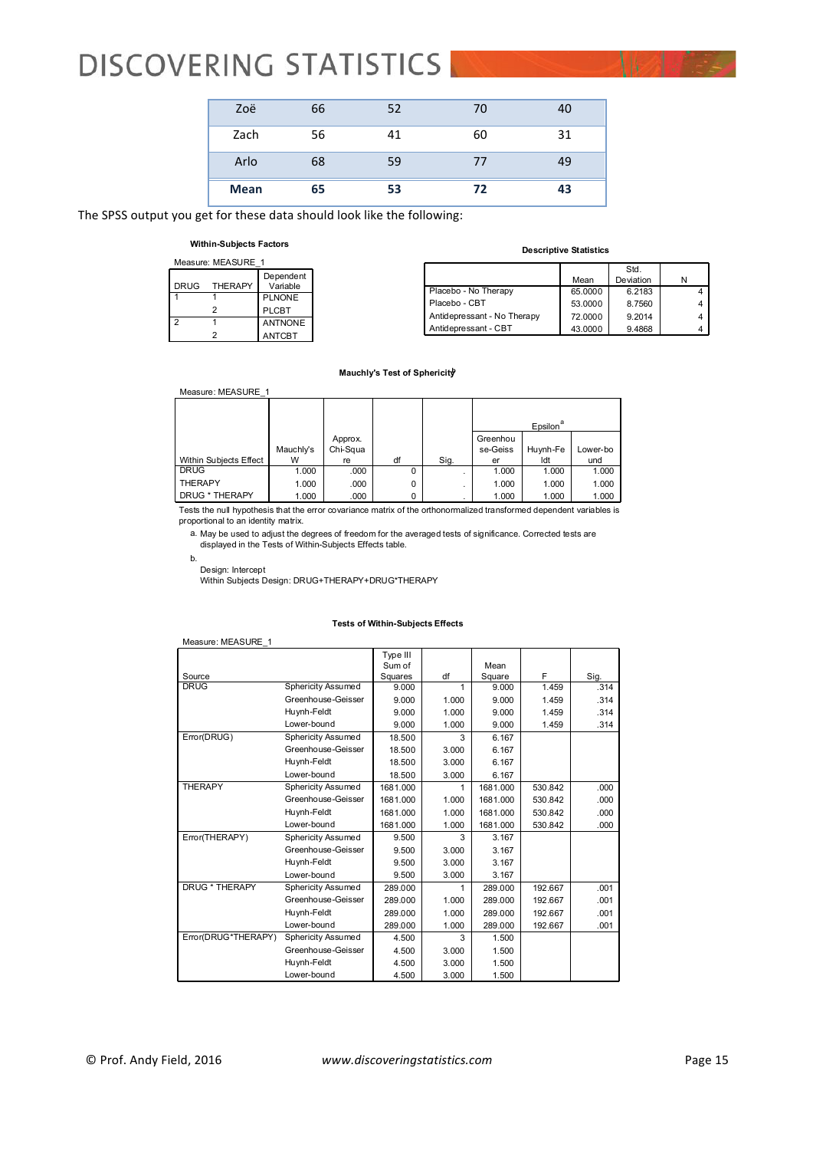| <b>Mean</b> | 65 | 53 | 72 | 43 |
|-------------|----|----|----|----|
| Arlo        | 68 | 59 | 77 | 49 |
| Zach        | 56 | 41 | 60 | 31 |
| Zoë         | 66 | 52 | 70 | 40 |

The SPSS output you get for these data should look like the following:

#### **Within-Subjects Factors**

| Measure: MEASURE 1 |                |                       |  |  |  |  |  |
|--------------------|----------------|-----------------------|--|--|--|--|--|
| <b>DRUG</b>        | <b>THERAPY</b> | Dependent<br>Variable |  |  |  |  |  |
|                    |                | <b>PLNONE</b>         |  |  |  |  |  |
|                    | 2              | PLCBT                 |  |  |  |  |  |
| 2                  |                | <b>ANTNONE</b>        |  |  |  |  |  |
|                    |                | <b>ANTCBT</b>         |  |  |  |  |  |

#### **Descriptive Statistics**

|                             | Mean    | Std.<br>Deviation | Ν |
|-----------------------------|---------|-------------------|---|
| Placebo - No Therapy        | 65.0000 | 6.2183            |   |
| Placebo - CBT               | 53.0000 | 8.7560            |   |
| Antidepressant - No Therapy | 72.0000 | 9.2014            |   |
| Antidepressant - CBT        | 43.0000 | 9.4868            |   |

#### **Mauchly's Test of Sphericity**

| Measure: MEASURE 1     |           |          |          |      |                      |          |          |  |
|------------------------|-----------|----------|----------|------|----------------------|----------|----------|--|
|                        |           |          |          |      |                      |          |          |  |
|                        |           |          |          |      | Epsilon <sup>a</sup> |          |          |  |
|                        |           | Approx.  |          |      | Greenhou             |          |          |  |
|                        | Mauchly's | Chi-Squa |          |      | se-Geiss             | Huynh-Fe | Lower-bo |  |
| Within Subjects Effect | W         | re       | df       | Sig. | er                   | Idt      | und      |  |
| <b>DRUG</b>            | 1.000     | .000     | $\Omega$ | ٠    | 1.000                | 1.000    | 1.000    |  |
| <b>THERAPY</b>         | 1.000     | .000     | 0        | ٠    | 1.000                | 1.000    | 1.000    |  |
| DRUG * THERAPY         | 1.000     | .000     | 0        |      | 1.000                | 1.000    | 1.000    |  |

Tests the null hypothesis that the error covariance matrix of the orthonormalized transformed dependent variables is proportional to an identity matrix.

May be used to adjust the degrees of freedom for the averaged tests of significance. Corrected tests are displayed in the Tests of Within-Subjects Effects table. a.

b.

Design: Intercept Within Subjects Design: DRUG+THERAPY+DRUG\*THERAPY

#### **Tests of Within-Subjects Effects**

| Measure: MEASURE 1  |                           |          |       |          |         |      |
|---------------------|---------------------------|----------|-------|----------|---------|------|
|                     |                           | Type III |       |          |         |      |
|                     |                           | Sum of   |       | Mean     |         |      |
| Source              |                           | Squares  | df    | Square   | F       | Sig. |
| <b>DRUG</b>         | <b>Sphericity Assumed</b> | 9.000    | 1     | 9.000    | 1.459   | .314 |
|                     | Greenhouse-Geisser        | 9.000    | 1.000 | 9.000    | 1.459   | .314 |
|                     | Huynh-Feldt               | 9.000    | 1.000 | 9.000    | 1.459   | .314 |
|                     | Lower-bound               | 9.000    | 1.000 | 9.000    | 1.459   | .314 |
| Error(DRUG)         | Sphericity Assumed        | 18.500   | 3     | 6.167    |         |      |
|                     | Greenhouse-Geisser        | 18.500   | 3.000 | 6.167    |         |      |
|                     | Huynh-Feldt               | 18.500   | 3.000 | 6.167    |         |      |
|                     | Lower-bound               | 18.500   | 3.000 | 6.167    |         |      |
| <b>THERAPY</b>      | Sphericity Assumed        | 1681.000 |       | 1681.000 | 530.842 | .000 |
|                     | Greenhouse-Geisser        | 1681.000 | 1.000 | 1681.000 | 530.842 | .000 |
|                     | Huynh-Feldt               | 1681.000 | 1.000 | 1681.000 | 530.842 | .000 |
|                     | Lower-bound               | 1681.000 | 1.000 | 1681.000 | 530.842 | .000 |
| Error(THERAPY)      | Sphericity Assumed        | 9.500    | 3     | 3.167    |         |      |
|                     | Greenhouse-Geisser        | 9.500    | 3.000 | 3.167    |         |      |
|                     | Huynh-Feldt               | 9.500    | 3.000 | 3.167    |         |      |
|                     | Lower-bound               | 9.500    | 3.000 | 3.167    |         |      |
| DRUG * THERAPY      | Sphericity Assumed        | 289.000  | 1     | 289.000  | 192.667 | .001 |
|                     | Greenhouse-Geisser        | 289.000  | 1.000 | 289.000  | 192.667 | .001 |
|                     | Huynh-Feldt               | 289,000  | 1.000 | 289.000  | 192.667 | .001 |
|                     | Lower-bound               | 289.000  | 1.000 | 289.000  | 192.667 | .001 |
| Error(DRUG*THERAPY) | Sphericity Assumed        | 4.500    | 3     | 1.500    |         |      |
|                     | Greenhouse-Geisser        | 4.500    | 3.000 | 1.500    |         |      |
|                     | Huynh-Feldt               | 4.500    | 3.000 | 1.500    |         |      |
|                     | Lower-bound               | 4.500    | 3.000 | 1.500    |         |      |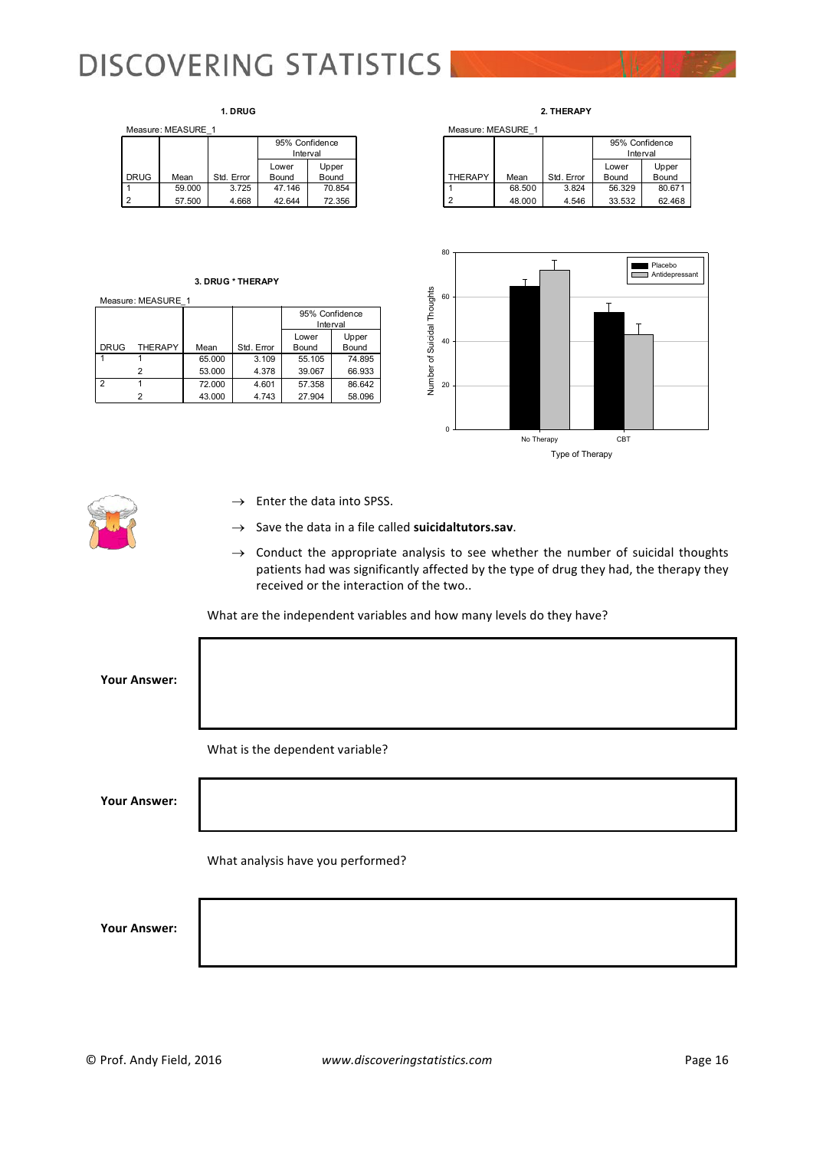#### **1. DRUG**

|             | Measure: MEASURE 1 |            |                            |        |  |  |  |  |  |
|-------------|--------------------|------------|----------------------------|--------|--|--|--|--|--|
|             |                    |            | 95% Confidence<br>Interval |        |  |  |  |  |  |
|             |                    |            | Lower                      | Upper  |  |  |  |  |  |
| <b>DRUG</b> | Mean               | Std. Error | Bound                      | Bound  |  |  |  |  |  |
|             | 59,000             | 3.725      | 47.146                     | 70.854 |  |  |  |  |  |
|             | 57.500             | 4.668      | 42.644                     | 72.356 |  |  |  |  |  |

#### **3. DRUG \* THERAPY**

Measure: MEASURE\_1

|                |                |        |            | 95% Confidence<br>Interval |                |
|----------------|----------------|--------|------------|----------------------------|----------------|
| <b>DRUG</b>    | <b>THERAPY</b> | Mean   | Std. Error | Lower<br>Bound             | Upper<br>Bound |
|                |                | 65.000 | 3.109      | 55.105                     | 74.895         |
|                |                | 53.000 | 4.378      | 39.067                     | 66.933         |
| $\overline{2}$ |                | 72.000 | 4.601      | 57.358                     | 86.642         |
|                |                | 43.000 | 4.743      | 27.904                     | 58.096         |



|                |        |            | 95% Confidence<br>Interval |        |  |
|----------------|--------|------------|----------------------------|--------|--|
|                |        |            | Lower                      | Upper  |  |
| <b>THERAPY</b> | Mean   | Std. Error | Bound                      | Bound  |  |
|                | 68.500 | 3.824      | 56.329                     | 80.671 |  |
|                | 48.000 | 4.546      | 33.532                     | 62.468 |  |



- 
- $\rightarrow$  Enter the data into SPSS.
- Save the data in a file called suicidaltutors.sav.
- $\rightarrow$  Conduct the appropriate analysis to see whether the number of suicidal thoughts patients had was significantly affected by the type of drug they had, the therapy they received or the interaction of the two..

What are the independent variables and how many levels do they have?

**Your Answer:**

What is the dependent variable?

**Your Answer:**

What analysis have you performed?

**Your Answer:**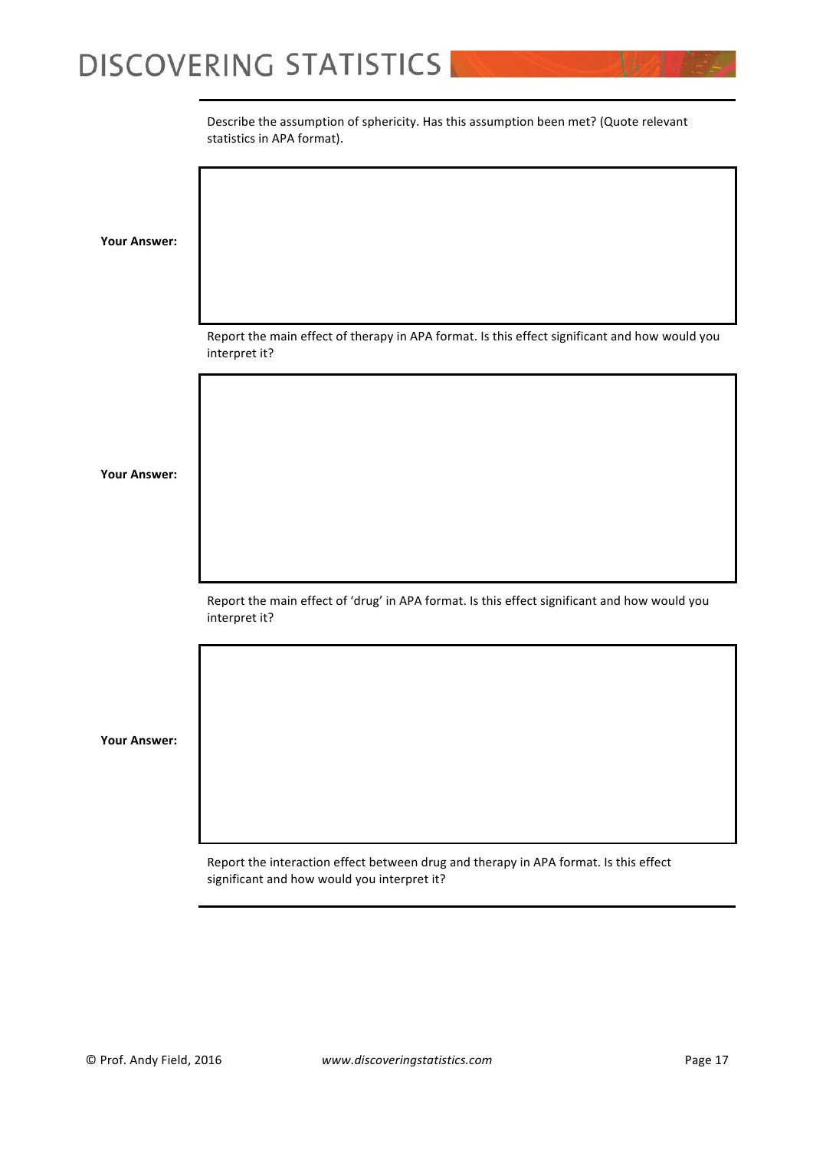Describe the assumption of sphericity. Has this assumption been met? (Quote relevant statistics in APA format).

**Your Answer:** Report the main effect of therapy in APA format. Is this effect significant and how would you interpret it? **Your Answer:** Report the main effect of 'drug' in APA format. Is this effect significant and how would you interpret it? **Your Answer:**

Report the interaction effect between drug and therapy in APA format. Is this effect significant and how would you interpret it?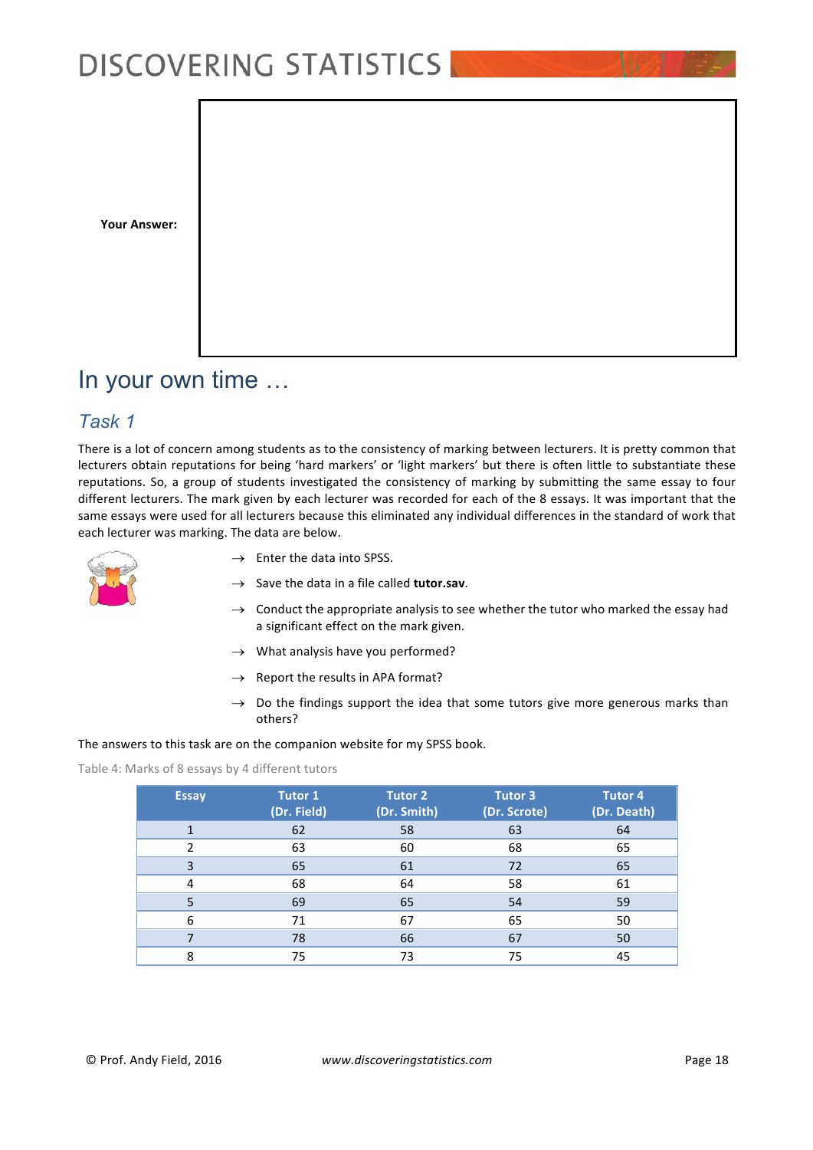

## In your own time …

### *Task 1*

There is a lot of concern among students as to the consistency of marking between lecturers. It is pretty common that lecturers obtain reputations for being 'hard markers' or 'light markers' but there is often little to substantiate these reputations. So, a group of students investigated the consistency of marking by submitting the same essay to four different lecturers. The mark given by each lecturer was recorded for each of the 8 essays. It was important that the same essays were used for all lecturers because this eliminated any individual differences in the standard of work that each lecturer was marking. The data are below.



- $\rightarrow$  Enter the data into SPSS.
- $\rightarrow$  Save the data in a file called **tutor.sav.**
- $\rightarrow$  Conduct the appropriate analysis to see whether the tutor who marked the essay had a significant effect on the mark given.
- $\rightarrow$  What analysis have you performed?
- $\rightarrow$  Report the results in APA format?
- $\rightarrow$  Do the findings support the idea that some tutors give more generous marks than others?

The answers to this task are on the companion website for my SPSS book.

Table 4: Marks of 8 essays by 4 different tutors

| <b>Essay</b>  | <b>Tutor 1</b><br>(Dr. Field) | <b>Tutor 2</b><br>(Dr. Smith) | <b>Tutor 3</b><br>(Dr. Scrote) | <b>Tutor 4</b><br>(Dr. Death) |
|---------------|-------------------------------|-------------------------------|--------------------------------|-------------------------------|
|               | 62                            | 58                            | 63                             | 64                            |
| $\mathfrak z$ | 63                            | 60                            | 68                             | 65                            |
| 3             | 65                            | 61                            | 72                             | 65                            |
| 4             | 68                            | 64                            | 58                             | 61                            |
| 5             | 69                            | 65                            | 54                             | 59                            |
| 6             | 71                            | 67                            | 65                             | 50                            |
|               | 78                            | 66                            | 67                             | 50                            |
| 8             | 75                            | 73                            | 75                             | 45                            |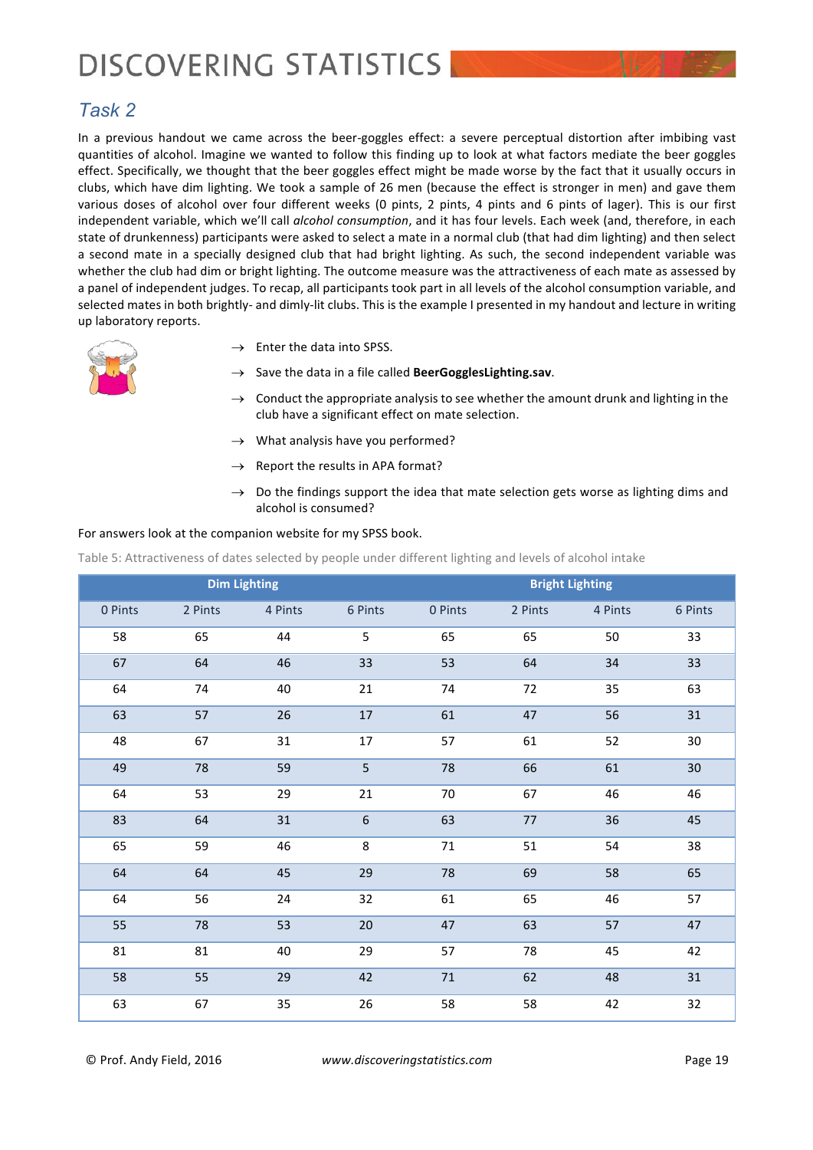### *Task 2*

In a previous handout we came across the beer-goggles effect: a severe perceptual distortion after imbibing vast quantities of alcohol. Imagine we wanted to follow this finding up to look at what factors mediate the beer goggles effect. Specifically, we thought that the beer goggles effect might be made worse by the fact that it usually occurs in clubs, which have dim lighting. We took a sample of 26 men (because the effect is stronger in men) and gave them various doses of alcohol over four different weeks (0 pints, 2 pints, 4 pints and 6 pints of lager). This is our first independent variable, which we'll call *alcohol consumption*, and it has four levels. Each week (and, therefore, in each state of drunkenness) participants were asked to select a mate in a normal club (that had dim lighting) and then select a second mate in a specially designed club that had bright lighting. As such, the second independent variable was whether the club had dim or bright lighting. The outcome measure was the attractiveness of each mate as assessed by a panel of independent judges. To recap, all participants took part in all levels of the alcohol consumption variable, and selected mates in both brightly- and dimly-lit clubs. This is the example I presented in my handout and lecture in writing up laboratory reports.



- $\rightarrow$  Enter the data into SPSS.
- $\rightarrow$  Save the data in a file called **BeerGogglesLighting.sav.**
- $\rightarrow$  Conduct the appropriate analysis to see whether the amount drunk and lighting in the club have a significant effect on mate selection.
- $\rightarrow$  What analysis have you performed?
- $\rightarrow$  Report the results in APA format?
- $\rightarrow$  Do the findings support the idea that mate selection gets worse as lighting dims and alcohol is consumed?

#### For answers look at the companion website for my SPSS book.

Table 5: Attractiveness of dates selected by people under different lighting and levels of alcohol intake

| <b>Dim Lighting</b> |         |         |                  |         | <b>Bright Lighting</b> |         |                 |
|---------------------|---------|---------|------------------|---------|------------------------|---------|-----------------|
| 0 Pints             | 2 Pints | 4 Pints | 6 Pints          | 0 Pints | 2 Pints                | 4 Pints | 6 Pints         |
| 58                  | 65      | 44      | 5                | 65      | 65                     | 50      | 33              |
| 67                  | 64      | 46      | 33               | 53      | 64                     | 34      | 33              |
| 64                  | 74      | 40      | 21               | 74      | 72                     | 35      | 63              |
| 63                  | 57      | 26      | $17\,$           | 61      | 47                     | 56      | 31              |
| 48                  | 67      | 31      | 17               | 57      | 61                     | 52      | 30              |
| 49                  | 78      | 59      | 5                | 78      | 66                     | 61      | 30 <sub>o</sub> |
| 64                  | 53      | 29      | 21               | 70      | 67                     | 46      | 46              |
| 83                  | 64      | 31      | $\boldsymbol{6}$ | 63      | $77 \,$                | 36      | 45              |
| 65                  | 59      | 46      | 8                | 71      | 51                     | 54      | 38              |
| 64                  | 64      | 45      | 29               | 78      | 69                     | 58      | 65              |
| 64                  | 56      | 24      | 32               | 61      | 65                     | 46      | 57              |
| 55                  | 78      | 53      | 20               | 47      | 63                     | 57      | 47              |
| 81                  | 81      | 40      | 29               | 57      | 78                     | 45      | 42              |
| 58                  | 55      | 29      | 42               | $71\,$  | 62                     | 48      | 31              |
| 63                  | 67      | 35      | 26               | 58      | 58                     | 42      | 32              |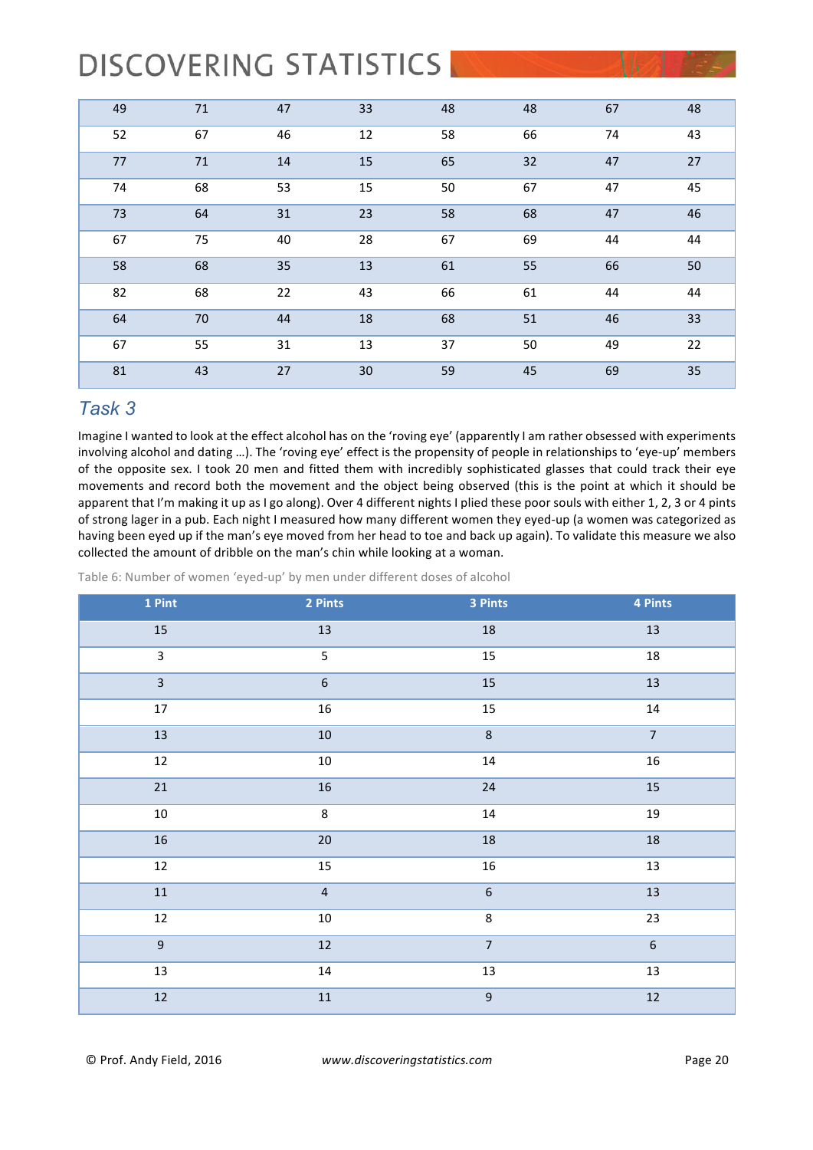| 49 | 71 | 47 | 33 | 48 | 48 | 67 | 48 |
|----|----|----|----|----|----|----|----|
| 52 | 67 | 46 | 12 | 58 | 66 | 74 | 43 |
| 77 | 71 | 14 | 15 | 65 | 32 | 47 | 27 |
| 74 | 68 | 53 | 15 | 50 | 67 | 47 | 45 |
| 73 | 64 | 31 | 23 | 58 | 68 | 47 | 46 |
| 67 | 75 | 40 | 28 | 67 | 69 | 44 | 44 |
| 58 | 68 | 35 | 13 | 61 | 55 | 66 | 50 |
| 82 | 68 | 22 | 43 | 66 | 61 | 44 | 44 |
| 64 | 70 | 44 | 18 | 68 | 51 | 46 | 33 |
| 67 | 55 | 31 | 13 | 37 | 50 | 49 | 22 |
| 81 | 43 | 27 | 30 | 59 | 45 | 69 | 35 |

### *Task 3*

Imagine I wanted to look at the effect alcohol has on the 'roving eye' (apparently I am rather obsessed with experiments involving alcohol and dating ...). The 'roving eye' effect is the propensity of people in relationships to 'eye-up' members of the opposite sex. I took 20 men and fitted them with incredibly sophisticated glasses that could track their eye movements and record both the movement and the object being observed (this is the point at which it should be apparent that I'm making it up as I go along). Over 4 different nights I plied these poor souls with either 1, 2, 3 or 4 pints of strong lager in a pub. Each night I measured how many different women they eyed-up (a women was categorized as having been eyed up if the man's eye moved from her head to toe and back up again). To validate this measure we also collected the amount of dribble on the man's chin while looking at a woman.

Table 6: Number of women 'eyed-up' by men under different doses of alcohol

| 1 Pint                  | 2 Pints          | 3 Pints        | 4 Pints          |
|-------------------------|------------------|----------------|------------------|
| 15                      | 13               | $18\,$         | 13               |
| $\mathbf{3}$            | $\overline{5}$   | $15\,$         | $18\,$           |
| $\overline{\mathbf{3}}$ | $\boldsymbol{6}$ | 15             | 13               |
| $17\,$                  | 16               | 15             | $14\,$           |
| $13\,$                  | $10\,$           | $\,8\,$        | $\overline{7}$   |
| $\overline{12}$         | 10               | $14\,$         | 16               |
| $21\,$                  | $16\,$           | $24\,$         | 15               |
| $10\,$                  | 8                | $14\,$         | $19\,$           |
| $16\,$                  | $20\,$           | $18\,$         | $18\,$           |
| $12\,$                  | $15\,$           | $16\,$         | 13               |
| $11\,$                  | $\overline{4}$   | $\overline{6}$ | $13\,$           |
| $12\,$                  | $10\,$           | $\bf 8$        | 23               |
| $\overline{9}$          | $12\,$           | $\overline{7}$ | $\boldsymbol{6}$ |
| 13                      | $14\,$           | $13\,$         | 13               |
| $12$                    | $11\,$           | $\overline{9}$ | $12$             |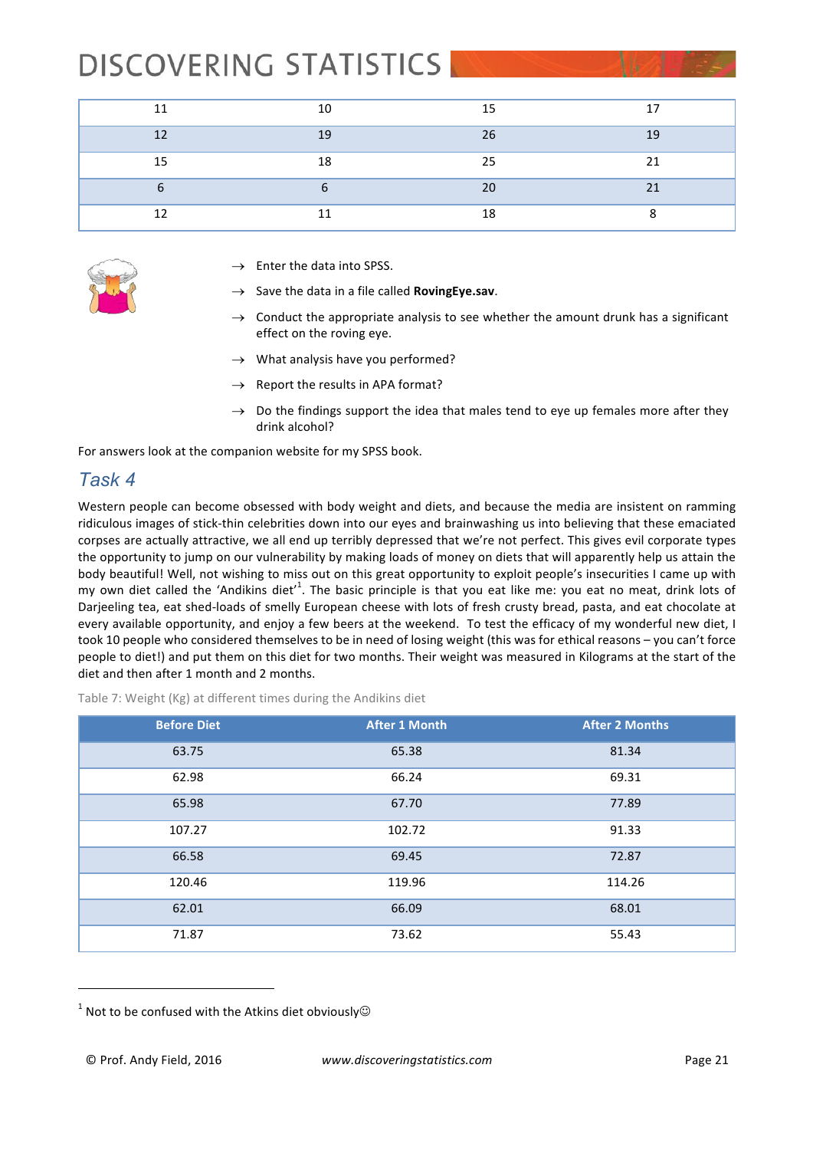| 11 | 10             | 15 | 17 |
|----|----------------|----|----|
| 12 | 1 <sub>q</sub> | 26 | 19 |
| 15 | 10             | 25 | 21 |
|    |                | 20 | 21 |
| 12 |                | 18 |    |



- $\rightarrow$  Enter the data into SPSS.
- Save the data in a file called **RovingEye.sav**.
- $\rightarrow$  Conduct the appropriate analysis to see whether the amount drunk has a significant effect on the roving eye.
- $\rightarrow$  What analysis have you performed?
- $\rightarrow$  Report the results in APA format?
- $\rightarrow$  Do the findings support the idea that males tend to eye up females more after they drink alcohol?

For answers look at the companion website for my SPSS book.

### *Task 4*

Western people can become obsessed with body weight and diets, and because the media are insistent on ramming ridiculous images of stick-thin celebrities down into our eyes and brainwashing us into believing that these emaciated corpses are actually attractive, we all end up terribly depressed that we're not perfect. This gives evil corporate types the opportunity to jump on our vulnerability by making loads of money on diets that will apparently help us attain the body beautiful! Well, not wishing to miss out on this great opportunity to exploit people's insecurities I came up with my own diet called the 'Andikins diet'<sup>1</sup>. The basic principle is that you eat like me: you eat no meat, drink lots of Darjeeling tea, eat shed-loads of smelly European cheese with lots of fresh crusty bread, pasta, and eat chocolate at every available opportunity, and enjoy a few beers at the weekend. To test the efficacy of my wonderful new diet, I took 10 people who considered themselves to be in need of losing weight (this was for ethical reasons – you can't force people to diet!) and put them on this diet for two months. Their weight was measured in Kilograms at the start of the diet and then after 1 month and 2 months.

Table 7: Weight (Kg) at different times during the Andikins diet

| <b>Before Diet</b> | <b>After 1 Month</b> | <b>After 2 Months</b> |
|--------------------|----------------------|-----------------------|
| 63.75              | 65.38                | 81.34                 |
| 62.98              | 66.24                | 69.31                 |
| 65.98              | 67.70                | 77.89                 |
| 107.27             | 102.72               | 91.33                 |
| 66.58              | 69.45                | 72.87                 |
| 120.46             | 119.96               | 114.26                |
| 62.01              | 66.09                | 68.01                 |
| 71.87              | 73.62                | 55.43                 |

 $1$  Not to be confused with the Atkins diet obviously $\odot$